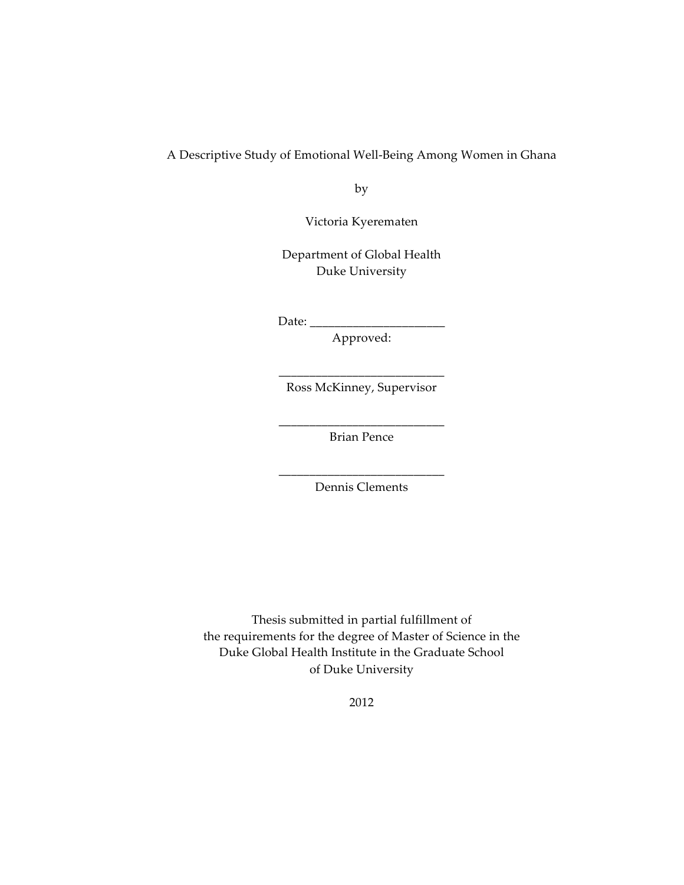## A Descriptive Study of Emotional Well‑Being Among Women in Ghana

by

Victoria Kyerematen

Department of Global Health Duke University

Date: \_\_\_\_\_\_\_\_\_\_\_\_\_\_\_\_\_\_\_\_\_\_

Approved:

\_\_\_\_\_\_\_\_\_\_\_\_\_\_\_\_\_\_\_\_\_\_\_\_\_\_\_ Ross McKinney, Supervisor

\_\_\_\_\_\_\_\_\_\_\_\_\_\_\_\_\_\_\_\_\_\_\_\_\_\_\_ Brian Pence

\_\_\_\_\_\_\_\_\_\_\_\_\_\_\_\_\_\_\_\_\_\_\_\_\_\_\_ Dennis Clements

Thesis submitted in partial fulfillment of the requirements for the degree of Master of Science in the Duke Global Health Institute in the Graduate School of Duke University

2012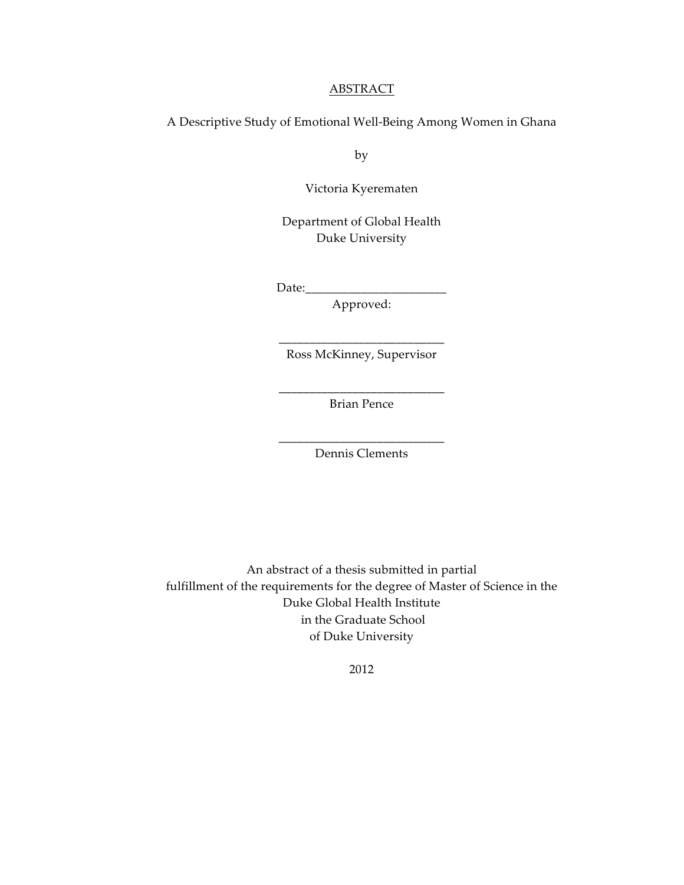#### ABSTRACT

A Descriptive Study of Emotional Well‑Being Among Women in Ghana

by

Victoria Kyerematen

Department of Global Health Duke University

Date:\_\_\_\_\_\_\_\_\_\_\_\_\_\_\_\_\_\_\_\_\_\_\_

Approved:

\_\_\_\_\_\_\_\_\_\_\_\_\_\_\_\_\_\_\_\_\_\_\_\_\_\_\_ Ross McKinney, Supervisor

\_\_\_\_\_\_\_\_\_\_\_\_\_\_\_\_\_\_\_\_\_\_\_\_\_\_\_ Brian Pence

\_\_\_\_\_\_\_\_\_\_\_\_\_\_\_\_\_\_\_\_\_\_\_\_\_\_\_ Dennis Clements

An abstract of a thesis submitted in partial fulfillment of the requirements for the degree of Master of Science in the Duke Global Health Institute in the Graduate School of Duke University

2012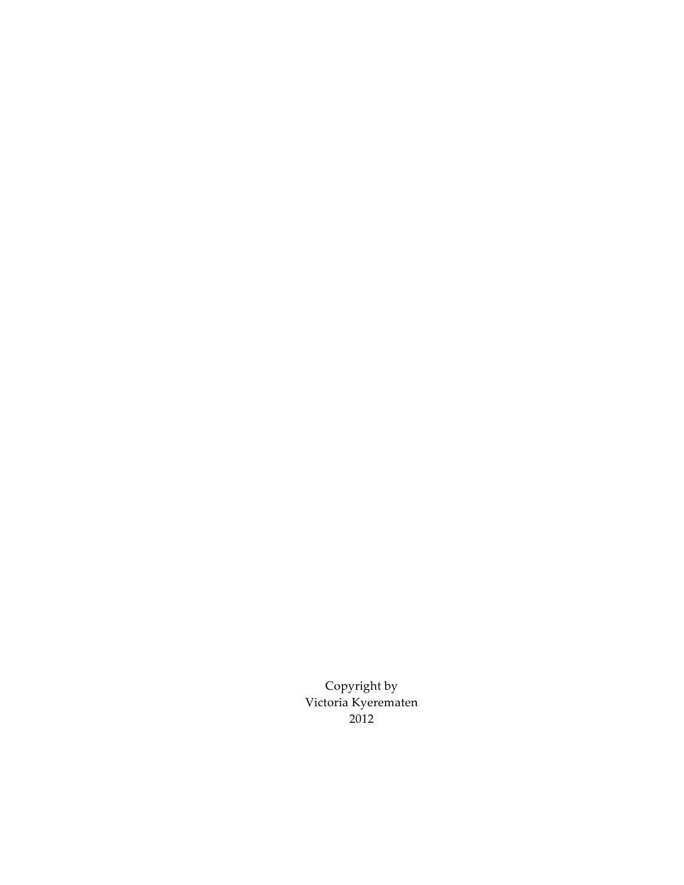Copyright by Victoria Kyerematen 2012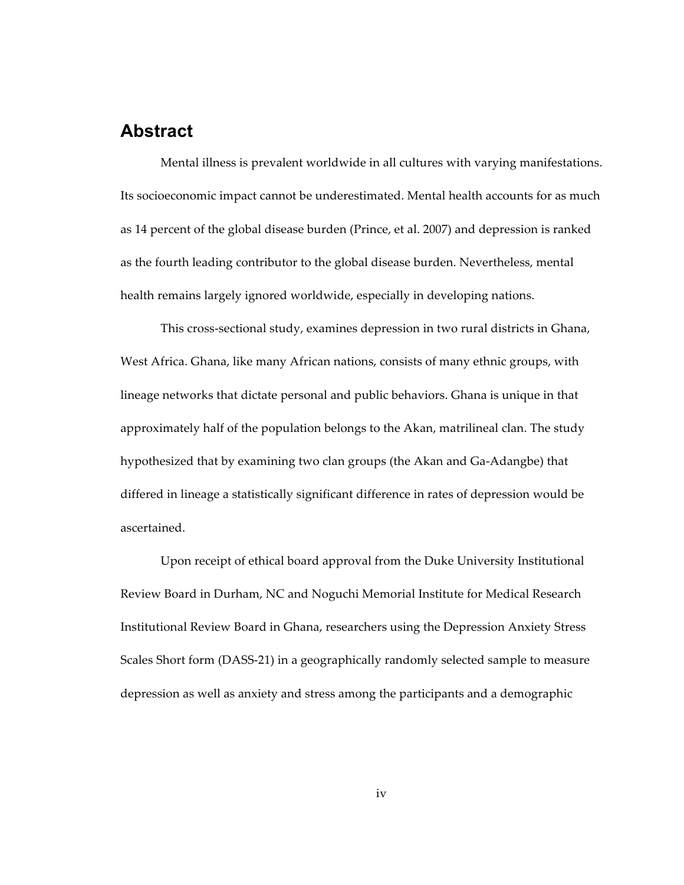## **Abstract**

Mental illness is prevalent worldwide in all cultures with varying manifestations. Its socioeconomic impact cannot be underestimated. Mental health accounts for as much as 14 percent of the global disease burden (Prince, et al. 2007) and depression is ranked as the fourth leading contributor to the global disease burden. Nevertheless, mental health remains largely ignored worldwide, especially in developing nations.

This cross‑sectional study, examines depression in two rural districts in Ghana, West Africa. Ghana, like many African nations, consists of many ethnic groups, with lineage networks that dictate personal and public behaviors. Ghana is unique in that approximately half of the population belongs to the Akan, matrilineal clan. The study hypothesized that by examining two clan groups (the Akan and Ga‑Adangbe) that differed in lineage a statistically significant difference in rates of depression would be ascertained.

Upon receipt of ethical board approval from the Duke University Institutional Review Board in Durham, NC and Noguchi Memorial Institute for Medical Research Institutional Review Board in Ghana, researchers using the Depression Anxiety Stress Scales Short form (DASS‑21) in a geographically randomly selected sample to measure depression as well as anxiety and stress among the participants and a demographic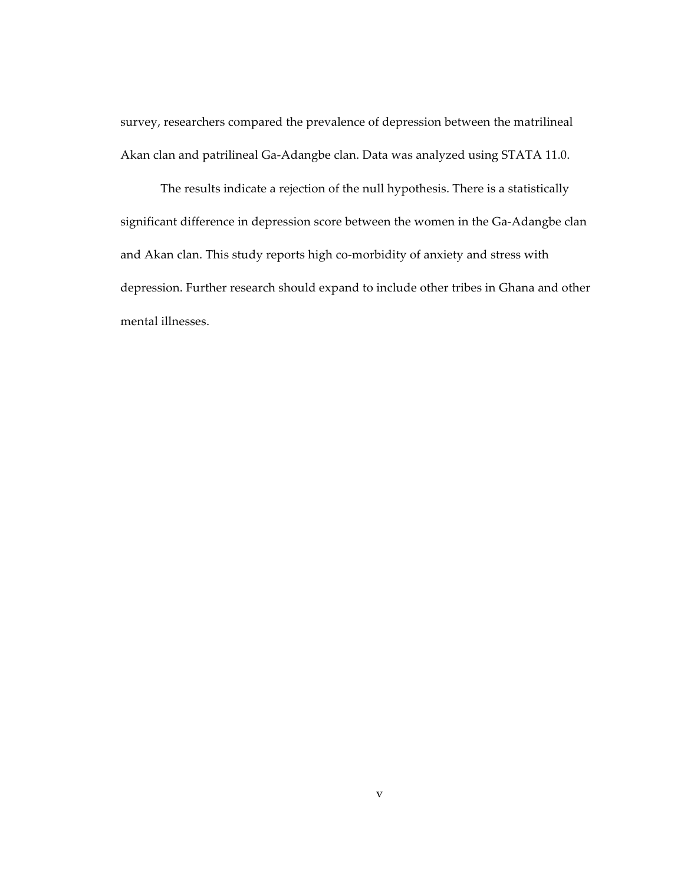survey, researchers compared the prevalence of depression between the matrilineal Akan clan and patrilineal Ga‑Adangbe clan. Data was analyzed using STATA 11.0.

The results indicate a rejection of the null hypothesis. There is a statistically significant difference in depression score between the women in the Ga-Adangbe clan and Akan clan. This study reports high co-morbidity of anxiety and stress with depression. Further research should expand to include other tribes in Ghana and other mental illnesses.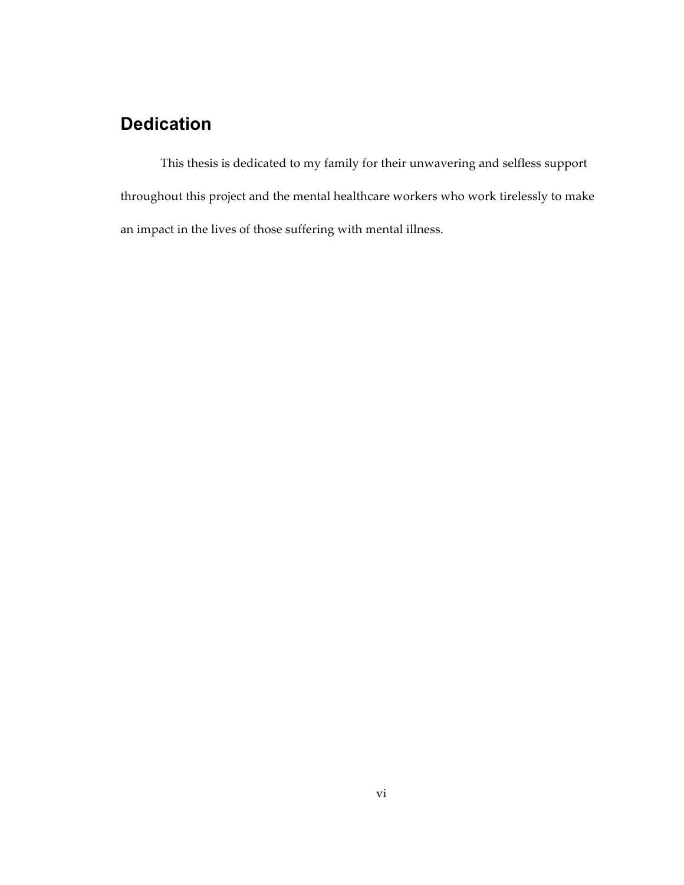## **Dedication**

This thesis is dedicated to my family for their unwavering and selfless support throughout this project and the mental healthcare workers who work tirelessly to make an impact in the lives of those suffering with mental illness.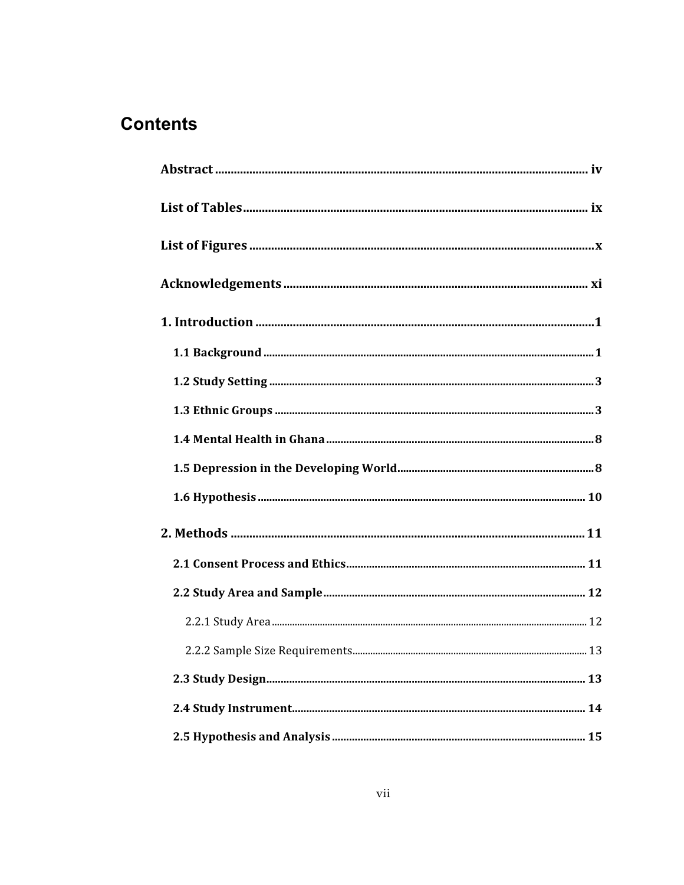# **Contents**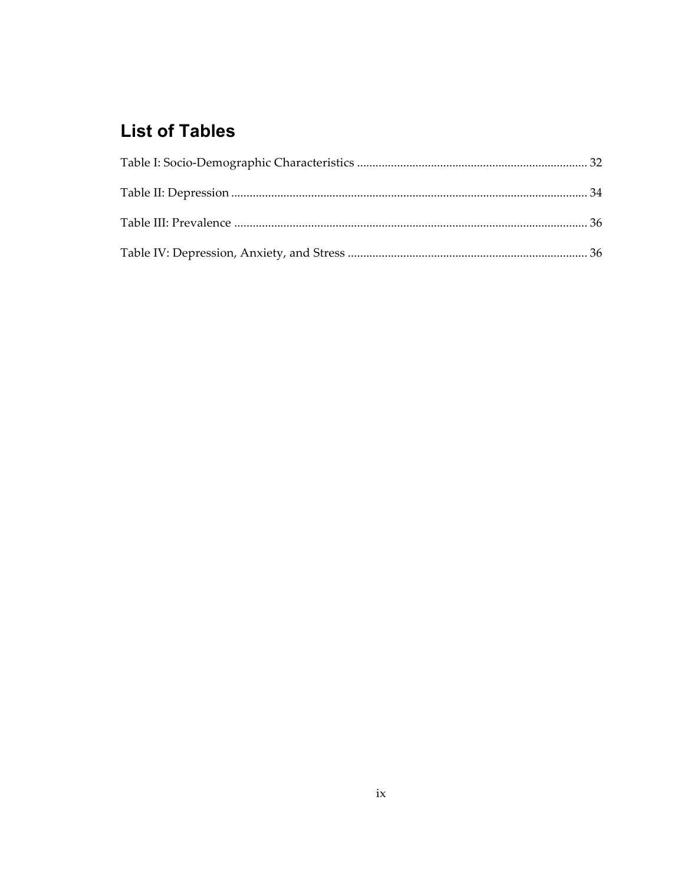# **List of Tables**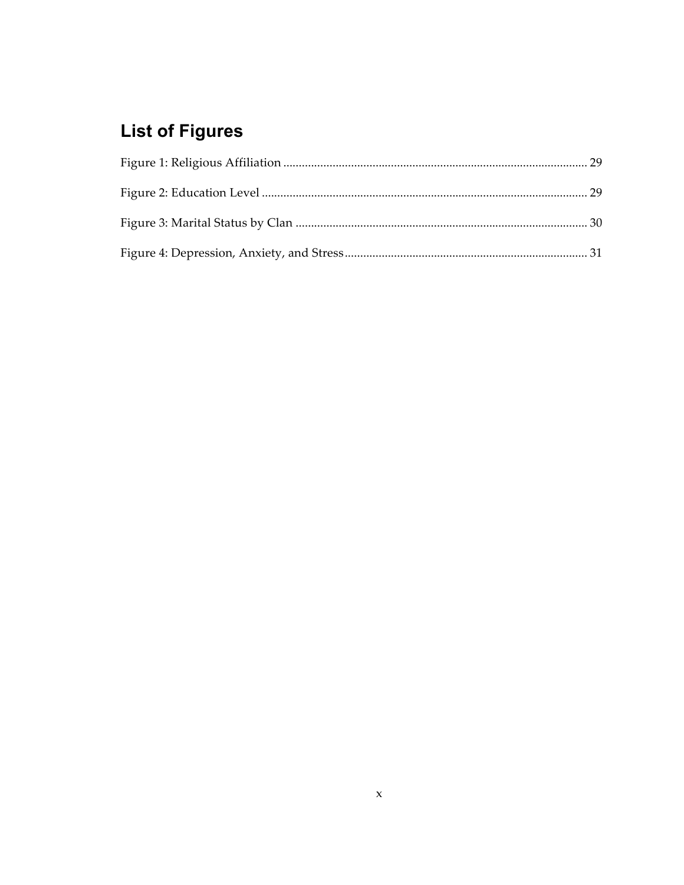# **List of Figures**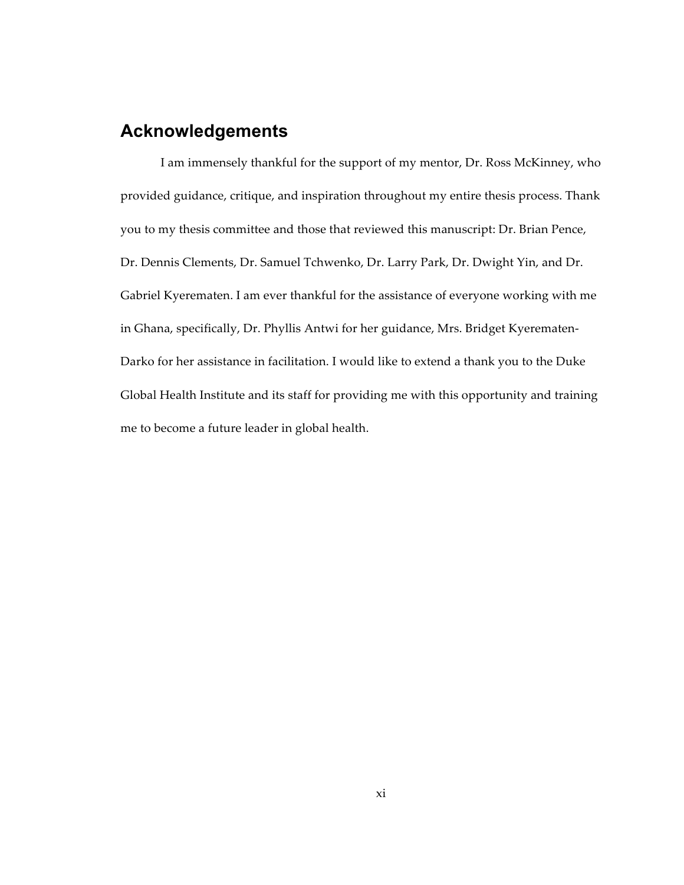## **Acknowledgements**

I am immensely thankful for the support of my mentor, Dr. Ross McKinney, who provided guidance, critique, and inspiration throughout my entire thesis process. Thank you to my thesis committee and those that reviewed this manuscript: Dr. Brian Pence, Dr. Dennis Clements, Dr. Samuel Tchwenko, Dr. Larry Park, Dr. Dwight Yin, and Dr. Gabriel Kyerematen. I am ever thankful for the assistance of everyone working with me in Ghana, specifically, Dr. Phyllis Antwi for her guidance, Mrs. Bridget Kyerematen-Darko for her assistance in facilitation. I would like to extend a thank you to the Duke Global Health Institute and its staff for providing me with this opportunity and training me to become a future leader in global health.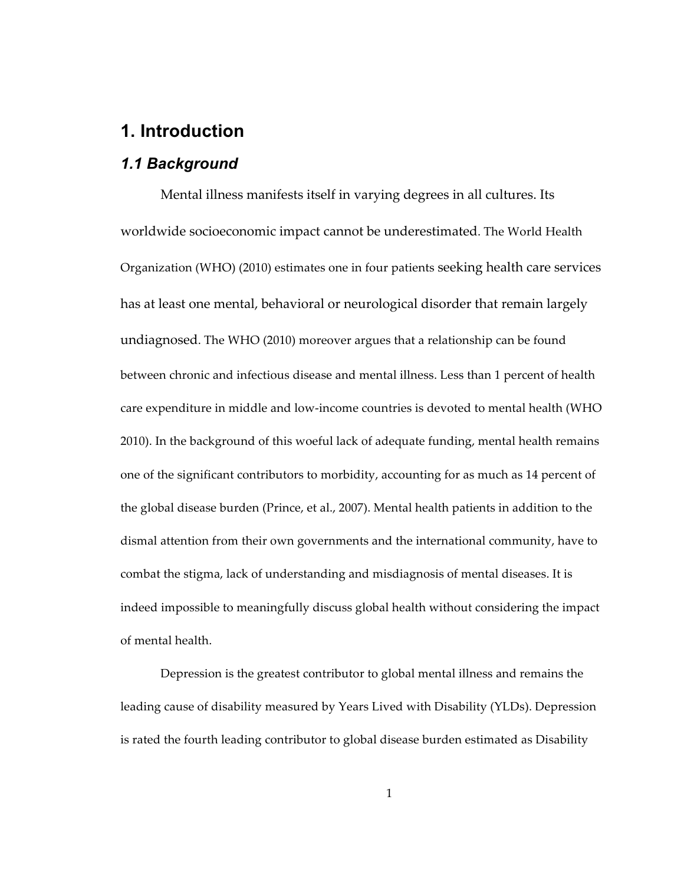## **1. Introduction**

#### *1.1 Background*

Mental illness manifests itself in varying degrees in all cultures. Its worldwide socioeconomic impact cannot be underestimated. The World Health Organization (WHO) (2010) estimates one in four patients seeking health care services has at least one mental, behavioral or neurological disorder that remain largely undiagnosed. The WHO (2010) moreover argues that a relationship can be found between chronic and infectious disease and mental illness. Less than 1 percent of health care expenditure in middle and low‑income countries is devoted to mental health (WHO 2010). In the background of this woeful lack of adequate funding, mental health remains one of the significant contributors to morbidity, accounting for as much as 14 percent of the global disease burden (Prince, et al., 2007). Mental health patients in addition to the dismal attention from their own governments and the international community, have to combat the stigma, lack of understanding and misdiagnosis of mental diseases. It is indeed impossible to meaningfully discuss global health without considering the impact of mental health.

Depression is the greatest contributor to global mental illness and remains the leading cause of disability measured by Years Lived with Disability (YLDs). Depression is rated the fourth leading contributor to global disease burden estimated as Disability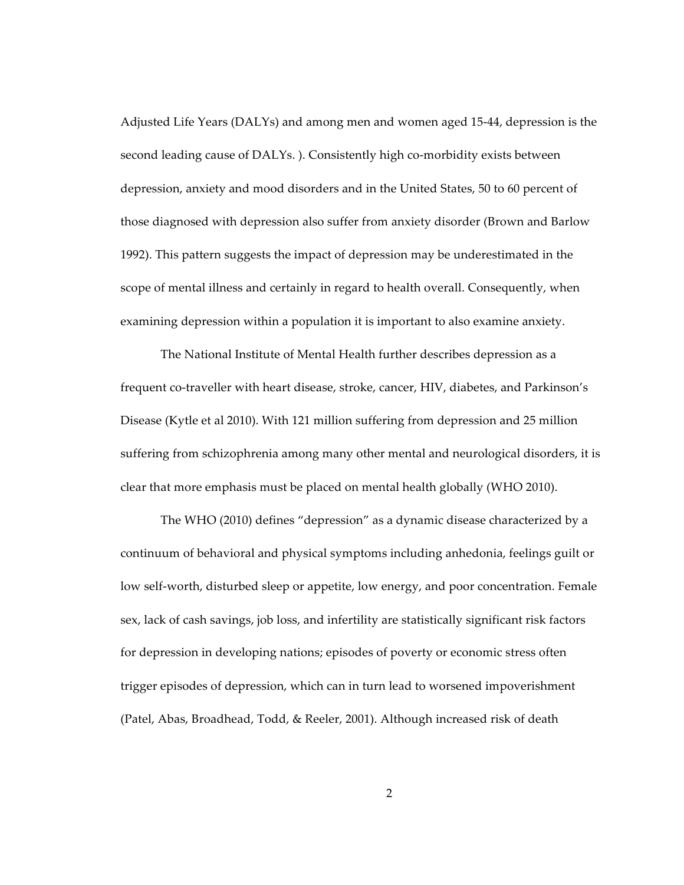Adjusted Life Years (DALYs) and among men and women aged 15‑44, depression is the second leading cause of DALYs. ). Consistently high co-morbidity exists between depression, anxiety and mood disorders and in the United States, 50 to 60 percent of those diagnosed with depression also suffer from anxiety disorder (Brown and Barlow 1992). This pattern suggests the impact of depression may be underestimated in the scope of mental illness and certainly in regard to health overall. Consequently, when examining depression within a population it is important to also examine anxiety.

The National Institute of Mental Health further describes depression as a frequent co-traveller with heart disease, stroke, cancer, HIV, diabetes, and Parkinson's Disease (Kytle et al 2010). With 121 million suffering from depression and 25 million suffering from schizophrenia among many other mental and neurological disorders, it is clear that more emphasis must be placed on mental health globally (WHO 2010).

The WHO (2010) defines "depression" as a dynamic disease characterized by a continuum of behavioral and physical symptoms including anhedonia, feelings guilt or low self-worth, disturbed sleep or appetite, low energy, and poor concentration. Female sex, lack of cash savings, job loss, and infertility are statistically significant risk factors for depression in developing nations; episodes of poverty or economic stress often trigger episodes of depression, which can in turn lead to worsened impoverishment (Patel, Abas, Broadhead, Todd, & Reeler, 2001). Although increased risk of death

2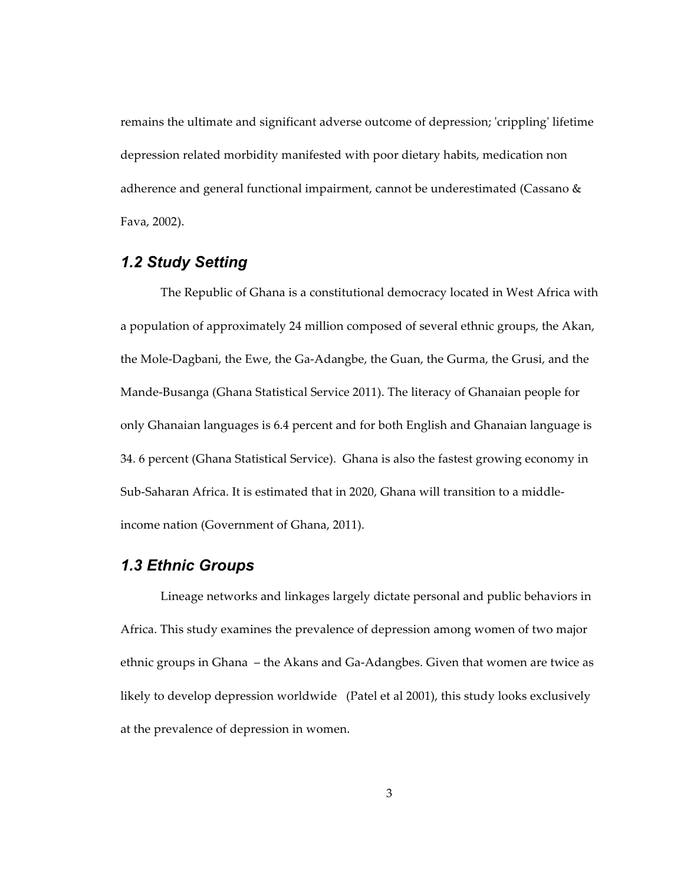remains the ultimate and significant adverse outcome of depression; 'crippling' lifetime depression related morbidity manifested with poor dietary habits, medication non adherence and general functional impairment, cannot be underestimated (Cassano & Fava, 2002).

## *1.2 Study Setting*

The Republic of Ghana is a constitutional democracy located in West Africa with a population of approximately 24 million composed of several ethnic groups, the Akan, the Mole‑Dagbani, the Ewe, the Ga‑Adangbe, the Guan, the Gurma, the Grusi, and the Mande‑Busanga (Ghana Statistical Service 2011). The literacy of Ghanaian people for only Ghanaian languages is 6.4 percent and for both English and Ghanaian language is 34. 6 percent (Ghana Statistical Service). Ghana is also the fastest growing economy in Sub-Saharan Africa. It is estimated that in 2020, Ghana will transition to a middleincome nation (Government of Ghana, 2011).

#### *1.3 Ethnic Groups*

Lineage networks and linkages largely dictate personal and public behaviors in Africa. This study examines the prevalence of depression among women of two major ethnic groups in Ghana – the Akans and Ga‑Adangbes. Given that women are twice as likely to develop depression worldwide (Patel et al 2001), this study looks exclusively at the prevalence of depression in women.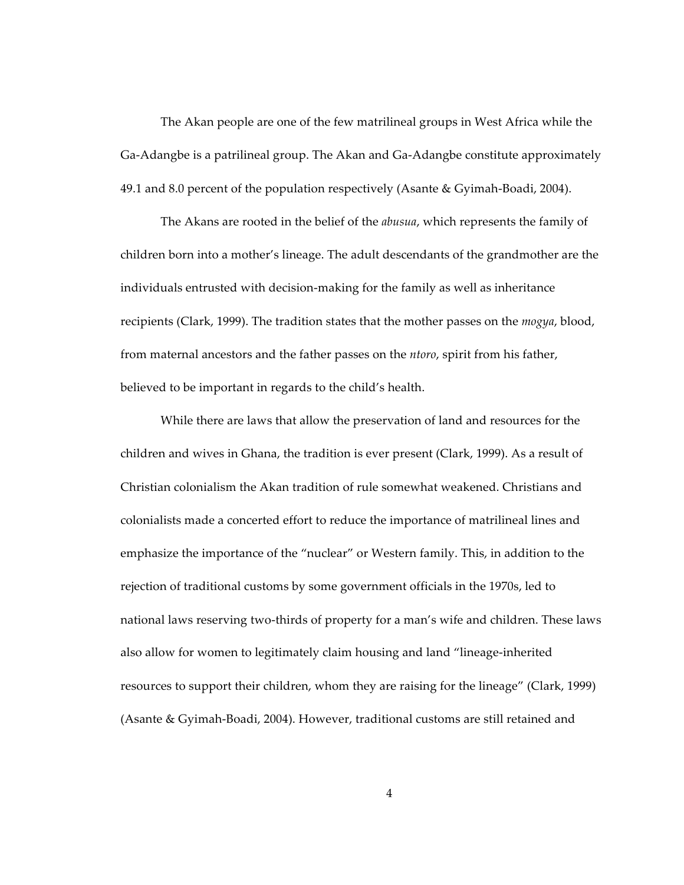The Akan people are one of the few matrilineal groups in West Africa while the Ga‑Adangbe is a patrilineal group. The Akan and Ga‑Adangbe constitute approximately 49.1 and 8.0 percent of the population respectively (Asante & Gyimah‑Boadi, 2004).

The Akans are rooted in the belief of the *abusua*, which represents the family of children born into a mother's lineage. The adult descendants of the grandmother are the individuals entrusted with decision‑making for the family as well as inheritance recipients (Clark, 1999). The tradition states that the mother passes on the *mogya*, blood, from maternal ancestors and the father passes on the *ntoro*, spirit from his father, believed to be important in regards to the child's health.

While there are laws that allow the preservation of land and resources for the children and wives in Ghana, the tradition is ever present (Clark, 1999). As a result of Christian colonialism the Akan tradition of rule somewhat weakened. Christians and colonialists made a concerted effort to reduce the importance of matrilineal lines and emphasize the importance of the "nuclear" or Western family. This, in addition to the rejection of traditional customs by some government officials in the 1970s, led to national laws reserving two-thirds of property for a man's wife and children. These laws also allow for women to legitimately claim housing and land "lineage-inherited resources to support their children, whom they are raising for the lineage" (Clark, 1999) (Asante & Gyimah‑Boadi, 2004). However, traditional customs are still retained and

4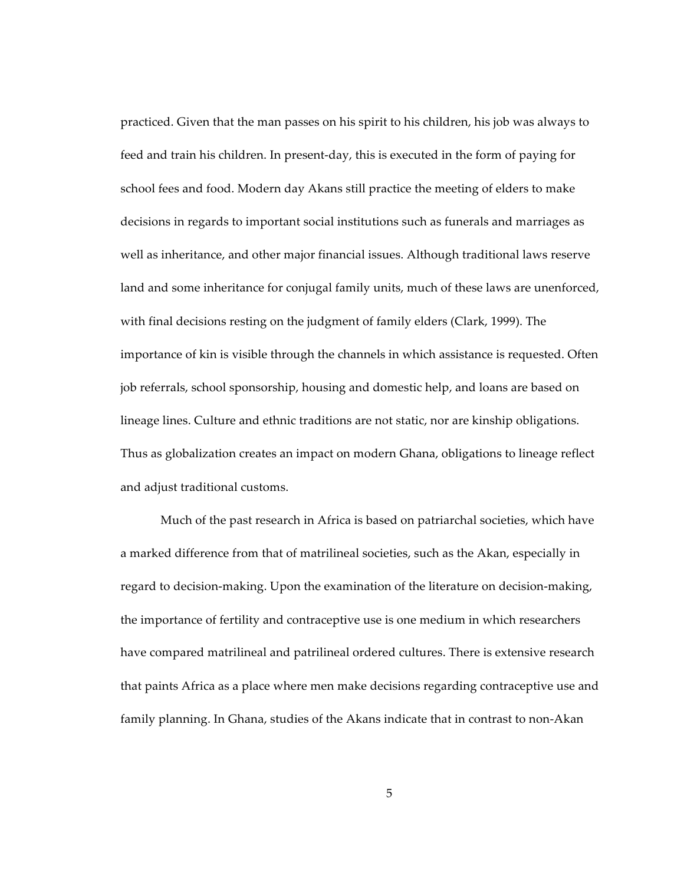practiced. Given that the man passes on his spirit to his children, his job was always to feed and train his children. In present-day, this is executed in the form of paying for school fees and food. Modern day Akans still practice the meeting of elders to make decisions in regards to important social institutions such as funerals and marriages as well as inheritance, and other major financial issues. Although traditional laws reserve land and some inheritance for conjugal family units, much of these laws are unenforced, with final decisions resting on the judgment of family elders (Clark, 1999). The importance of kin is visible through the channels in which assistance is requested. Often job referrals, school sponsorship, housing and domestic help, and loans are based on lineage lines. Culture and ethnic traditions are not static, nor are kinship obligations. Thus as globalization creates an impact on modern Ghana, obligations to lineage reflect and adjust traditional customs.

Much of the past research in Africa is based on patriarchal societies, which have a marked difference from that of matrilineal societies, such as the Akan, especially in regard to decision-making. Upon the examination of the literature on decision-making, the importance of fertility and contraceptive use is one medium in which researchers have compared matrilineal and patrilineal ordered cultures. There is extensive research that paints Africa as a place where men make decisions regarding contraceptive use and family planning. In Ghana, studies of the Akans indicate that in contrast to non‑Akan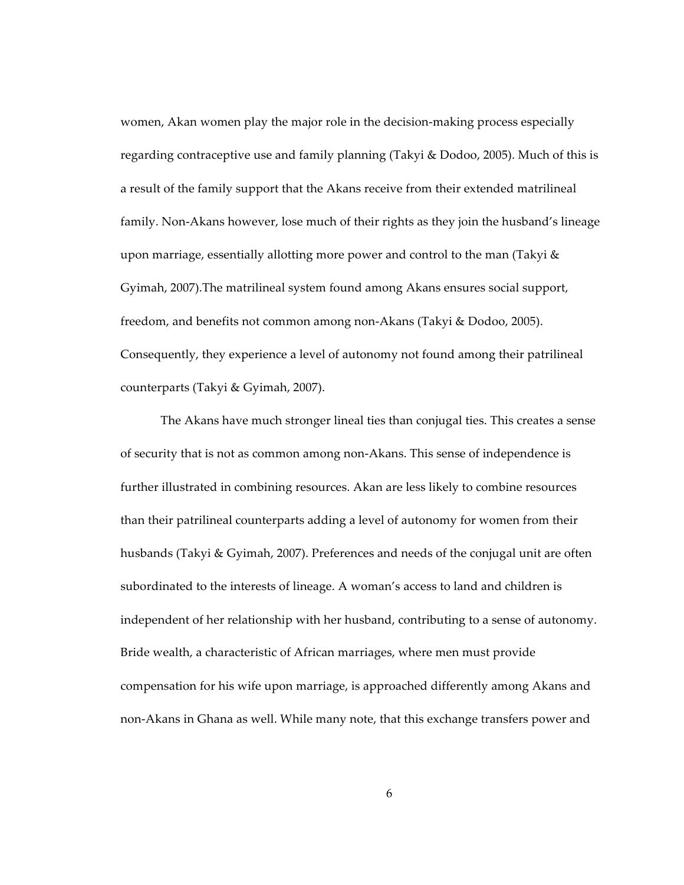women, Akan women play the major role in the decision-making process especially regarding contraceptive use and family planning (Takyi & Dodoo, 2005). Much of this is a result of the family support that the Akans receive from their extended matrilineal family. Non‑Akans however, lose much of their rights as they join the husband's lineage upon marriage, essentially allotting more power and control to the man (Takyi  $\&$ Gyimah, 2007).The matrilineal system found among Akans ensures social support, freedom, and benefits not common among non‑Akans (Takyi & Dodoo, 2005). Consequently, they experience a level of autonomy not found among their patrilineal counterparts (Takyi & Gyimah, 2007).

The Akans have much stronger lineal ties than conjugal ties. This creates a sense of security that is not as common among non‑Akans. This sense of independence is further illustrated in combining resources. Akan are less likely to combine resources than their patrilineal counterparts adding a level of autonomy for women from their husbands (Takyi & Gyimah, 2007). Preferences and needs of the conjugal unit are often subordinated to the interests of lineage. A woman's access to land and children is independent of her relationship with her husband, contributing to a sense of autonomy. Bride wealth, a characteristic of African marriages, where men must provide compensation for his wife upon marriage, is approached differently among Akans and non‑Akans in Ghana as well. While many note, that this exchange transfers power and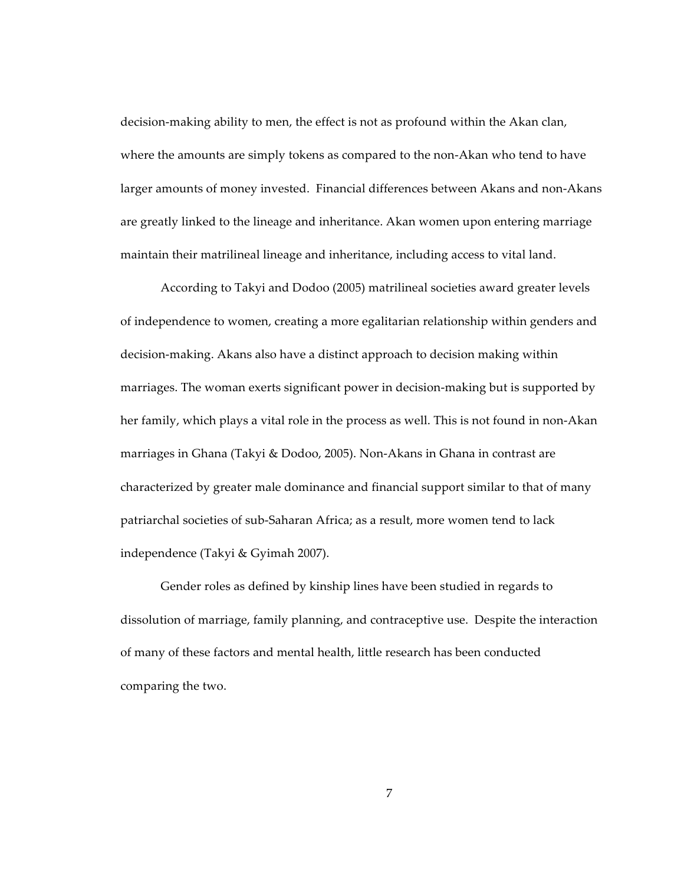decision-making ability to men, the effect is not as profound within the Akan clan, where the amounts are simply tokens as compared to the non-Akan who tend to have larger amounts of money invested. Financial differences between Akans and non‑Akans are greatly linked to the lineage and inheritance. Akan women upon entering marriage maintain their matrilineal lineage and inheritance, including access to vital land.

According to Takyi and Dodoo (2005) matrilineal societies award greater levels of independence to women, creating a more egalitarian relationship within genders and decision-making. Akans also have a distinct approach to decision making within marriages. The woman exerts significant power in decision-making but is supported by her family, which plays a vital role in the process as well. This is not found in non-Akan marriages in Ghana (Takyi & Dodoo, 2005). Non‑Akans in Ghana in contrast are characterized by greater male dominance and financial support similar to that of many patriarchal societies of sub‑Saharan Africa; as a result, more women tend to lack independence (Takyi & Gyimah 2007).

Gender roles as defined by kinship lines have been studied in regards to dissolution of marriage, family planning, and contraceptive use. Despite the interaction of many of these factors and mental health, little research has been conducted comparing the two.

7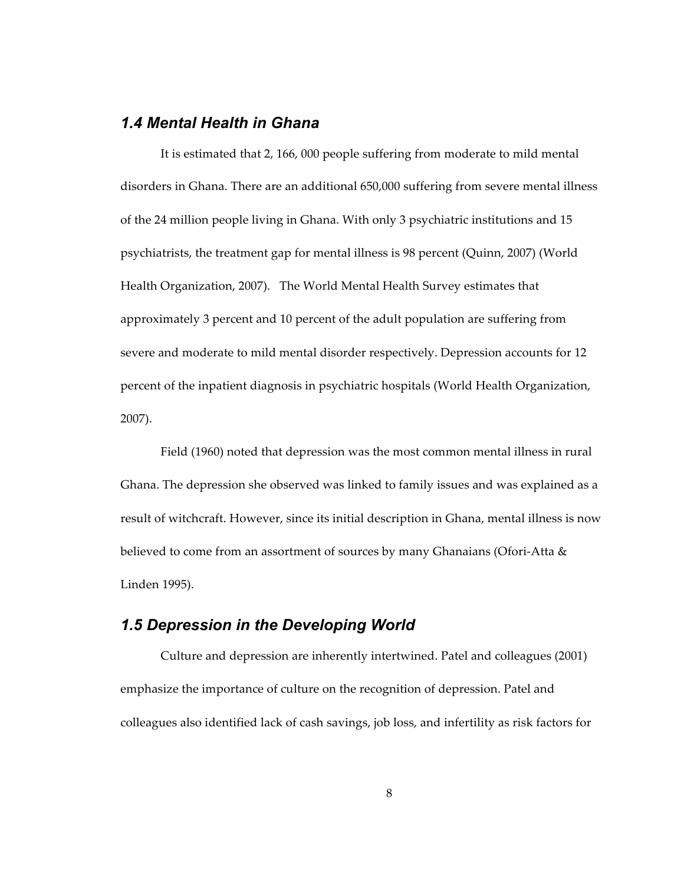#### *1.4 Mental Health in Ghana*

It is estimated that 2, 166, 000 people suffering from moderate to mild mental disorders in Ghana. There are an additional 650,000 suffering from severe mental illness of the 24 million people living in Ghana. With only 3 psychiatric institutions and 15 psychiatrists, the treatment gap for mental illness is 98 percent (Quinn, 2007) (World Health Organization, 2007). The World Mental Health Survey estimates that approximately 3 percent and 10 percent of the adult population are suffering from severe and moderate to mild mental disorder respectively. Depression accounts for 12 percent of the inpatient diagnosis in psychiatric hospitals (World Health Organization, 2007).

Field (1960) noted that depression was the most common mental illness in rural Ghana. The depression she observed was linked to family issues and was explained as a result of witchcraft. However, since its initial description in Ghana, mental illness is now believed to come from an assortment of sources by many Ghanaians (Ofori‑Atta & Linden 1995).

### *1.5 Depression in the Developing World*

Culture and depression are inherently intertwined. Patel and colleagues (2001) emphasize the importance of culture on the recognition of depression. Patel and colleagues also identified lack of cash savings, job loss, and infertility as risk factors for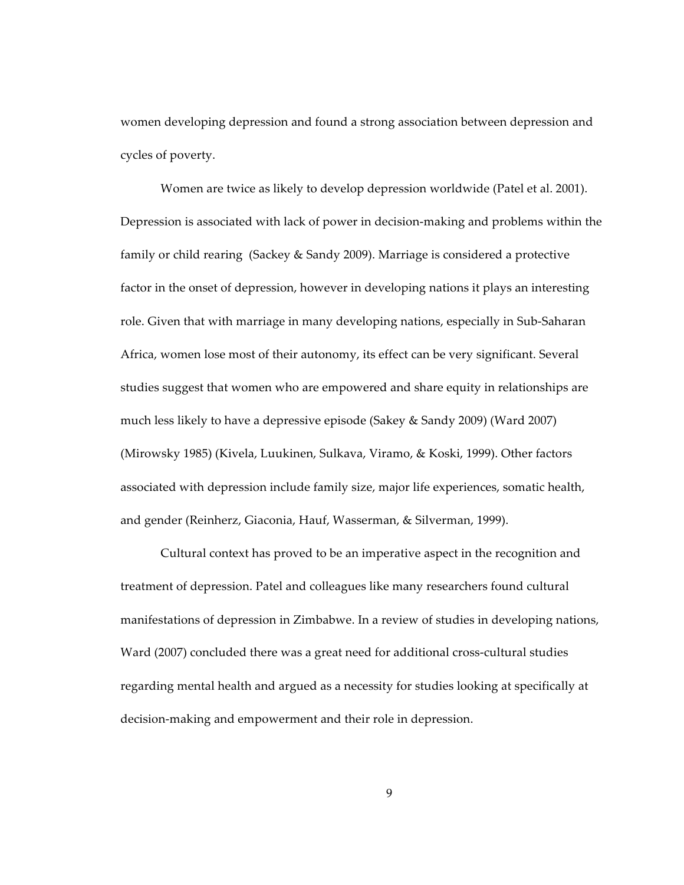women developing depression and found a strong association between depression and cycles of poverty.

Women are twice as likely to develop depression worldwide (Patel et al. 2001). Depression is associated with lack of power in decision-making and problems within the family or child rearing (Sackey & Sandy 2009). Marriage is considered a protective factor in the onset of depression, however in developing nations it plays an interesting role. Given that with marriage in many developing nations, especially in Sub‑Saharan Africa, women lose most of their autonomy, its effect can be very significant. Several studies suggest that women who are empowered and share equity in relationships are much less likely to have a depressive episode (Sakey & Sandy 2009) (Ward 2007) (Mirowsky 1985) (Kivela, Luukinen, Sulkava, Viramo, & Koski, 1999). Other factors associated with depression include family size, major life experiences, somatic health, and gender (Reinherz, Giaconia, Hauf, Wasserman, & Silverman, 1999).

Cultural context has proved to be an imperative aspect in the recognition and treatment of depression. Patel and colleagues like many researchers found cultural manifestations of depression in Zimbabwe. In a review of studies in developing nations, Ward (2007) concluded there was a great need for additional cross-cultural studies regarding mental health and argued as a necessity for studies looking at specifically at decision-making and empowerment and their role in depression.

9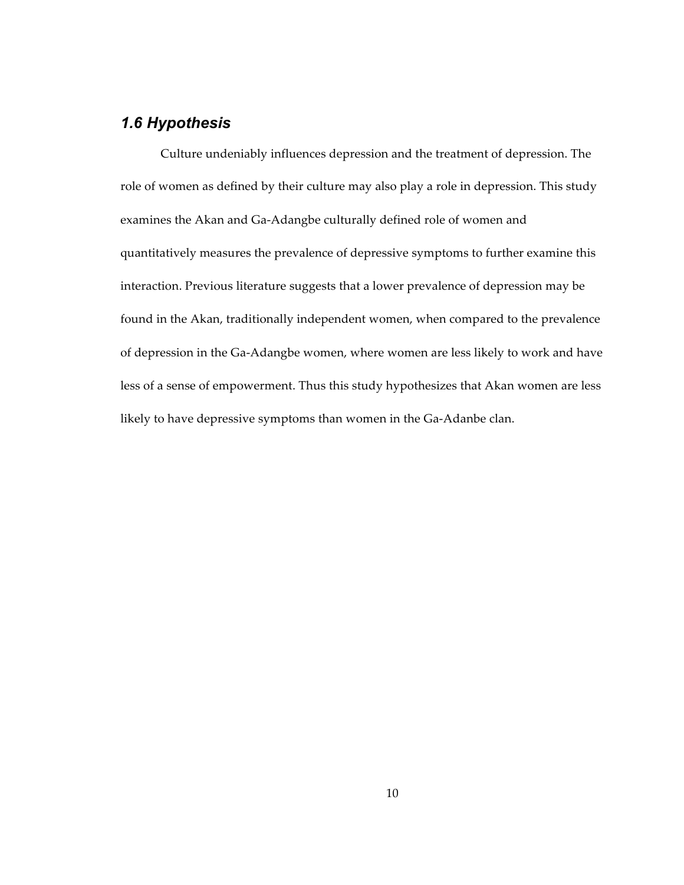## *1.6 Hypothesis*

Culture undeniably influences depression and the treatment of depression. The role of women as defined by their culture may also play a role in depression. This study examines the Akan and Ga‑Adangbe culturally defined role of women and quantitatively measures the prevalence of depressive symptoms to further examine this interaction. Previous literature suggests that a lower prevalence of depression may be found in the Akan, traditionally independent women, when compared to the prevalence of depression in the Ga‑Adangbe women, where women are less likely to work and have less of a sense of empowerment. Thus this study hypothesizes that Akan women are less likely to have depressive symptoms than women in the Ga-Adanbe clan.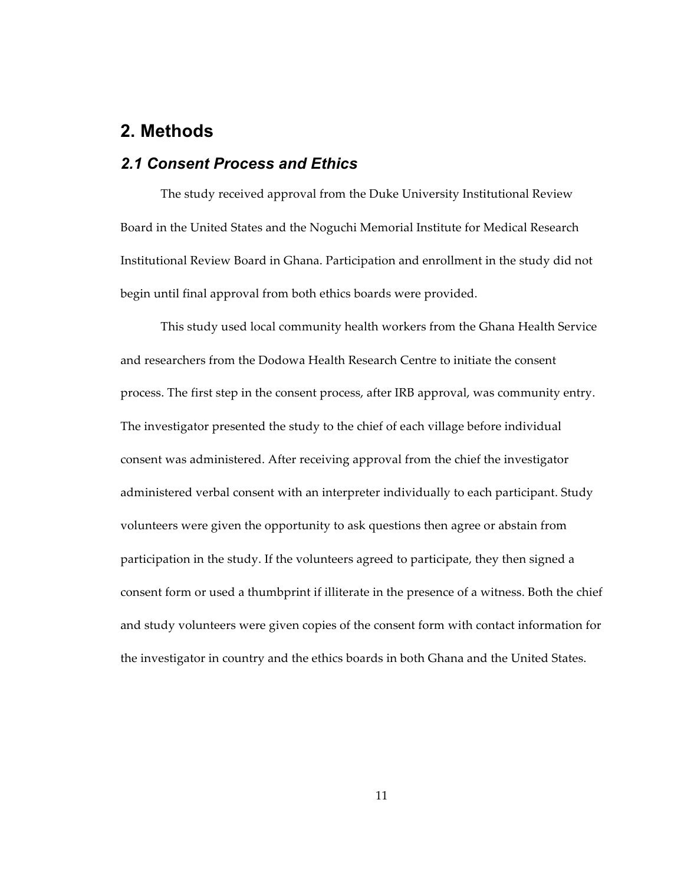## **2. Methods**

#### *2.1 Consent Process and Ethics*

The study received approval from the Duke University Institutional Review Board in the United States and the Noguchi Memorial Institute for Medical Research Institutional Review Board in Ghana. Participation and enrollment in the study did not begin until final approval from both ethics boards were provided.

This study used local community health workers from the Ghana Health Service and researchers from the Dodowa Health Research Centre to initiate the consent process. The first step in the consent process, after IRB approval, was community entry. The investigator presented the study to the chief of each village before individual consent was administered. After receiving approval from the chief the investigator administered verbal consent with an interpreter individually to each participant. Study volunteers were given the opportunity to ask questions then agree or abstain from participation in the study. If the volunteers agreed to participate, they then signed a consent form or used a thumbprint if illiterate in the presence of a witness. Both the chief and study volunteers were given copies of the consent form with contact information for the investigator in country and the ethics boards in both Ghana and the United States.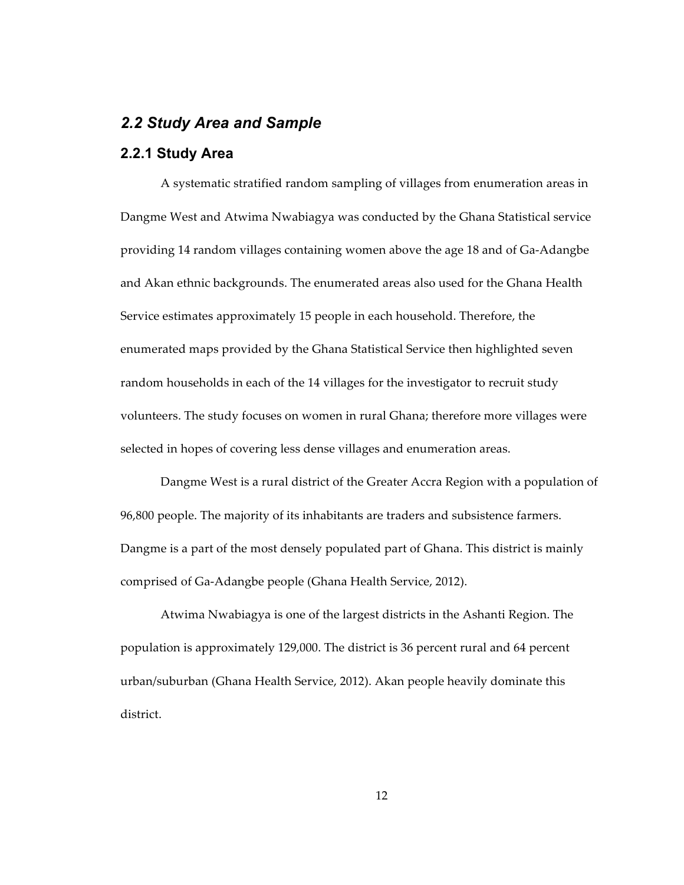#### *2.2 Study Area and Sample*

#### **2.2.1 Study Area**

A systematic stratified random sampling of villages from enumeration areas in Dangme West and Atwima Nwabiagya was conducted by the Ghana Statistical service providing 14 random villages containing women above the age 18 and of Ga‑Adangbe and Akan ethnic backgrounds. The enumerated areas also used for the Ghana Health Service estimates approximately 15 people in each household. Therefore, the enumerated maps provided by the Ghana Statistical Service then highlighted seven random households in each of the 14 villages for the investigator to recruit study volunteers. The study focuses on women in rural Ghana; therefore more villages were selected in hopes of covering less dense villages and enumeration areas.

Dangme West is a rural district of the Greater Accra Region with a population of 96,800 people. The majority of its inhabitants are traders and subsistence farmers. Dangme is a part of the most densely populated part of Ghana. This district is mainly comprised of Ga‑Adangbe people (Ghana Health Service, 2012).

Atwima Nwabiagya is one of the largest districts in the Ashanti Region. The population is approximately 129,000. The district is 36 percent rural and 64 percent urban/suburban (Ghana Health Service, 2012). Akan people heavily dominate this district.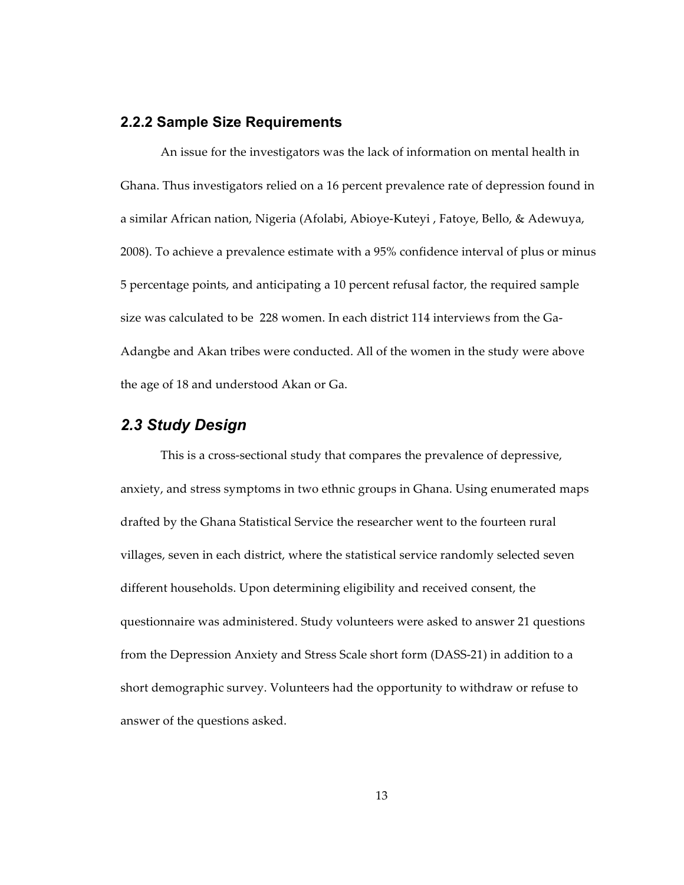#### **2.2.2 Sample Size Requirements**

An issue for the investigators was the lack of information on mental health in Ghana. Thus investigators relied on a 16 percent prevalence rate of depression found in a similar African nation, Nigeria (Afolabi, Abioye‑Kuteyi , Fatoye, Bello, & Adewuya, 2008). To achieve a prevalence estimate with a 95% confidence interval of plus or minus 5 percentage points, and anticipating a 10 percent refusal factor, the required sample size was calculated to be 228 women. In each district 114 interviews from the Ga-Adangbe and Akan tribes were conducted. All of the women in the study were above the age of 18 and understood Akan or Ga.

#### *2.3 Study Design*

This is a cross-sectional study that compares the prevalence of depressive, anxiety, and stress symptoms in two ethnic groups in Ghana. Using enumerated maps drafted by the Ghana Statistical Service the researcher went to the fourteen rural villages, seven in each district, where the statistical service randomly selected seven different households. Upon determining eligibility and received consent, the questionnaire was administered. Study volunteers were asked to answer 21 questions from the Depression Anxiety and Stress Scale short form (DASS‑21) in addition to a short demographic survey. Volunteers had the opportunity to withdraw or refuse to answer of the questions asked.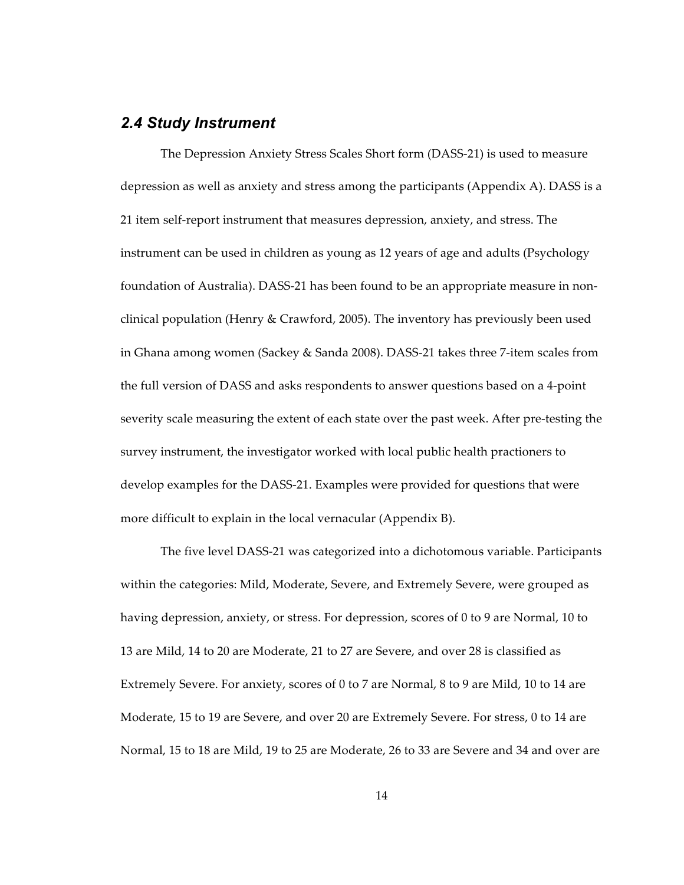#### *2.4 Study Instrument*

The Depression Anxiety Stress Scales Short form (DASS‑21) is used to measure depression as well as anxiety and stress among the participants (Appendix A). DASS is a 21 item self-report instrument that measures depression, anxiety, and stress. The instrument can be used in children as young as 12 years of age and adults (Psychology foundation of Australia). DASS-21 has been found to be an appropriate measure in nonclinical population (Henry & Crawford, 2005). The inventory has previously been used in Ghana among women (Sackey & Sanda 2008). DASS‑21 takes three 7‑item scales from the full version of DASS and asks respondents to answer questions based on a 4‑point severity scale measuring the extent of each state over the past week. After pre-testing the survey instrument, the investigator worked with local public health practioners to develop examples for the DASS-21. Examples were provided for questions that were more difficult to explain in the local vernacular (Appendix B).

The five level DASS‑21 was categorized into a dichotomous variable. Participants within the categories: Mild, Moderate, Severe, and Extremely Severe, were grouped as having depression, anxiety, or stress. For depression, scores of 0 to 9 are Normal, 10 to 13 are Mild, 14 to 20 are Moderate, 21 to 27 are Severe, and over 28 is classified as Extremely Severe. For anxiety, scores of 0 to 7 are Normal, 8 to 9 are Mild, 10 to 14 are Moderate, 15 to 19 are Severe, and over 20 are Extremely Severe. For stress, 0 to 14 are Normal, 15 to 18 are Mild, 19 to 25 are Moderate, 26 to 33 are Severe and 34 and over are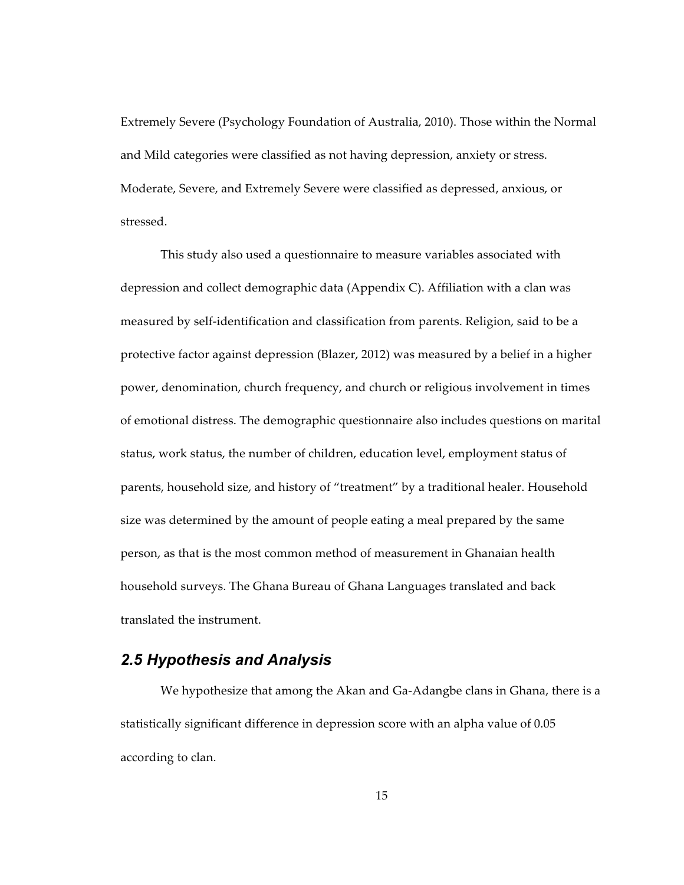Extremely Severe (Psychology Foundation of Australia, 2010). Those within the Normal and Mild categories were classified as not having depression, anxiety or stress. Moderate, Severe, and Extremely Severe were classified as depressed, anxious, or stressed.

This study also used a questionnaire to measure variables associated with depression and collect demographic data (Appendix C). Affiliation with a clan was measured by self-identification and classification from parents. Religion, said to be a protective factor against depression (Blazer, 2012) was measured by a belief in a higher power, denomination, church frequency, and church or religious involvement in times of emotional distress. The demographic questionnaire also includes questions on marital status, work status, the number of children, education level, employment status of parents, household size, and history of "treatment" by a traditional healer. Household size was determined by the amount of people eating a meal prepared by the same person, as that is the most common method of measurement in Ghanaian health household surveys. The Ghana Bureau of Ghana Languages translated and back translated the instrument.

## *2.5 Hypothesis and Analysis*

We hypothesize that among the Akan and Ga-Adangbe clans in Ghana, there is a statistically significant difference in depression score with an alpha value of 0.05 according to clan.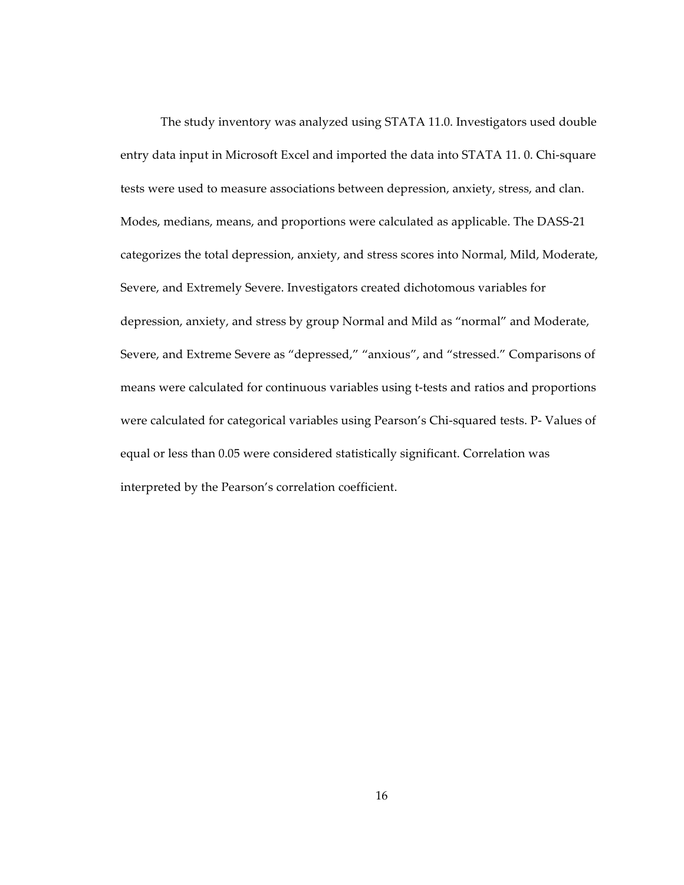The study inventory was analyzed using STATA 11.0. Investigators used double entry data input in Microsoft Excel and imported the data into STATA 11.0. Chi-square tests were used to measure associations between depression, anxiety, stress, and clan. Modes, medians, means, and proportions were calculated as applicable. The DASS‑21 categorizes the total depression, anxiety, and stress scores into Normal, Mild, Moderate, Severe, and Extremely Severe. Investigators created dichotomous variables for depression, anxiety, and stress by group Normal and Mild as "normal" and Moderate, Severe, and Extreme Severe as "depressed," "anxious", and "stressed." Comparisons of means were calculated for continuous variables using t-tests and ratios and proportions were calculated for categorical variables using Pearson's Chi-squared tests. P- Values of equal or less than 0.05 were considered statistically significant. Correlation was interpreted by the Pearson's correlation coefficient.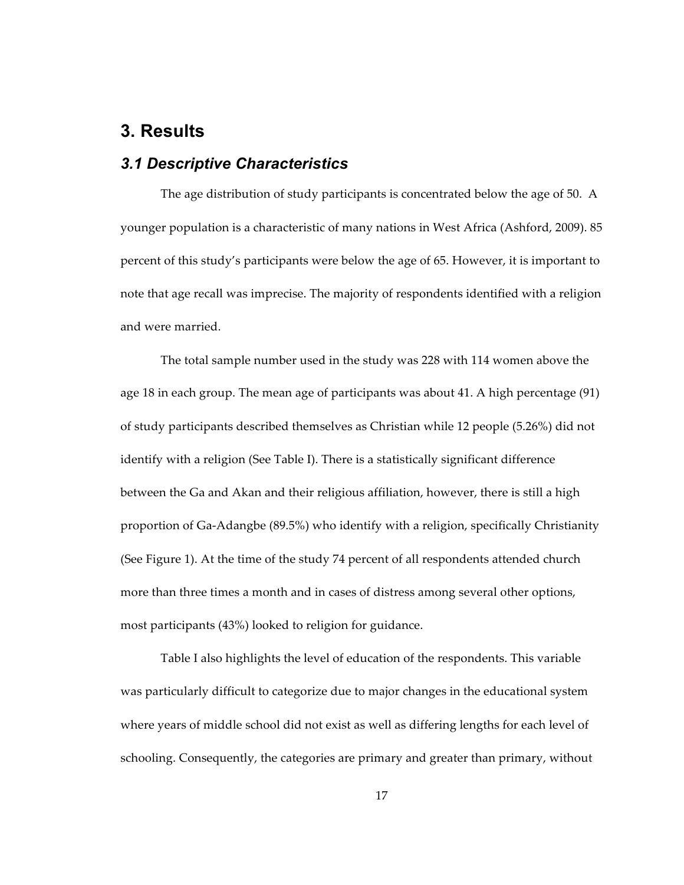## **3. Results**

#### *3.1 Descriptive Characteristics*

The age distribution of study participants is concentrated below the age of 50. A younger population is a characteristic of many nations in West Africa (Ashford, 2009). 85 percent of this study's participants were below the age of 65. However, it is important to note that age recall was imprecise. The majority of respondents identified with a religion and were married.

The total sample number used in the study was 228 with 114 women above the age 18 in each group. The mean age of participants was about 41. A high percentage (91) of study participants described themselves as Christian while 12 people (5.26%) did not identify with a religion (See Table I). There is a statistically significant difference between the Ga and Akan and their religious affiliation, however, there is still a high proportion of Ga‑Adangbe (89.5%) who identify with a religion, specifically Christianity (See Figure 1). At the time of the study 74 percent of all respondents attended church more than three times a month and in cases of distress among several other options, most participants (43%) looked to religion for guidance.

Table I also highlights the level of education of the respondents. This variable was particularly difficult to categorize due to major changes in the educational system where years of middle school did not exist as well as differing lengths for each level of schooling. Consequently, the categories are primary and greater than primary, without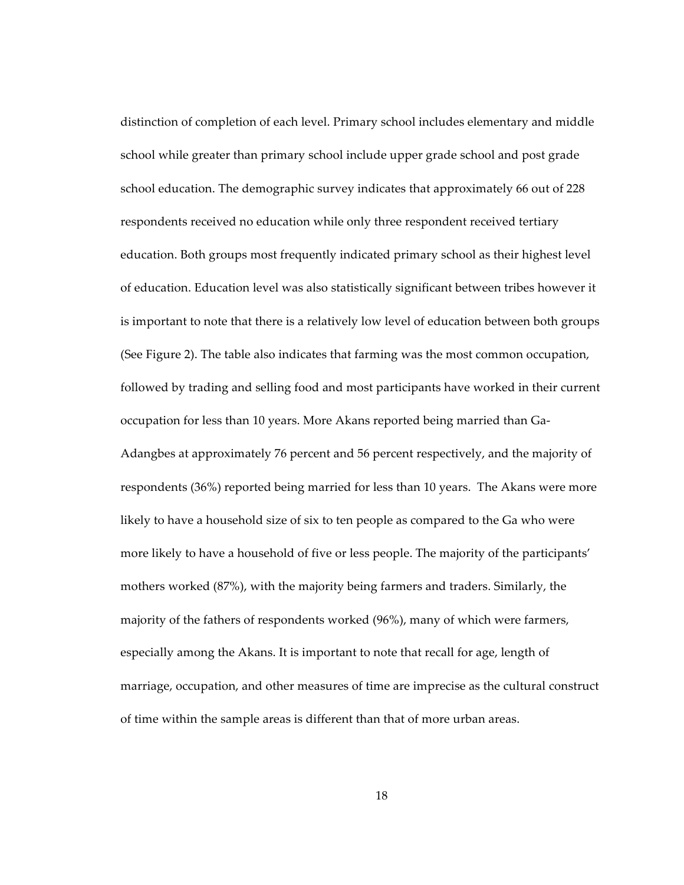distinction of completion of each level. Primary school includes elementary and middle school while greater than primary school include upper grade school and post grade school education. The demographic survey indicates that approximately 66 out of 228 respondents received no education while only three respondent received tertiary education. Both groups most frequently indicated primary school as their highest level of education. Education level was also statistically significant between tribes however it is important to note that there is a relatively low level of education between both groups (See Figure 2). The table also indicates that farming was the most common occupation, followed by trading and selling food and most participants have worked in their current occupation for less than 10 years. More Akans reported being married than Ga‑ Adangbes at approximately 76 percent and 56 percent respectively, and the majority of respondents (36%) reported being married for less than 10 years. The Akans were more likely to have a household size of six to ten people as compared to the Ga who were more likely to have a household of five or less people. The majority of the participants' mothers worked (87%), with the majority being farmers and traders. Similarly, the majority of the fathers of respondents worked (96%), many of which were farmers, especially among the Akans. It is important to note that recall for age, length of marriage, occupation, and other measures of time are imprecise as the cultural construct of time within the sample areas is different than that of more urban areas.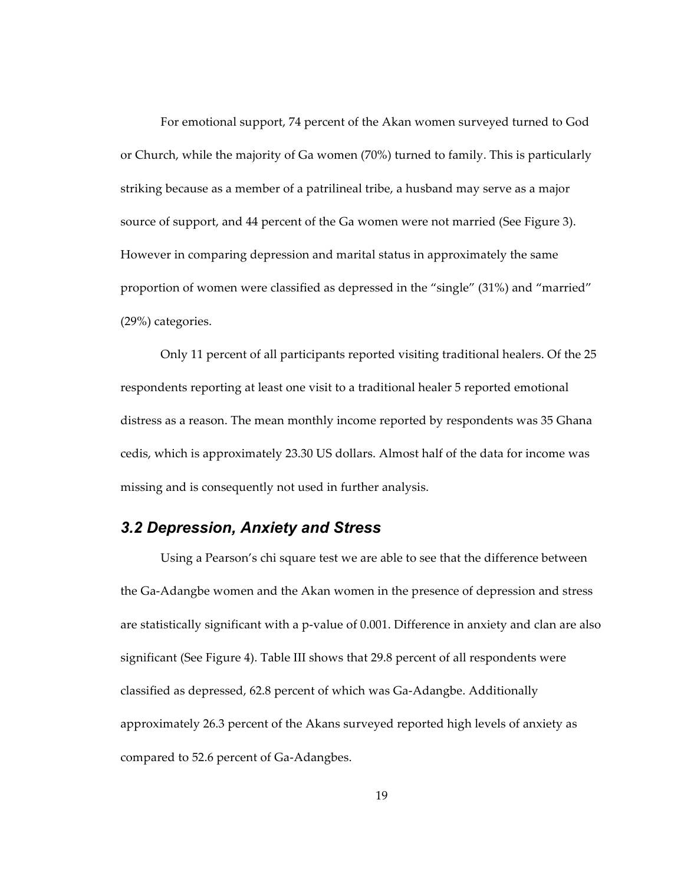For emotional support, 74 percent of the Akan women surveyed turned to God or Church, while the majority of Ga women (70%) turned to family. This is particularly striking because as a member of a patrilineal tribe, a husband may serve as a major source of support, and 44 percent of the Ga women were not married (See Figure 3). However in comparing depression and marital status in approximately the same proportion of women were classified as depressed in the "single" (31%) and "married" (29%) categories.

Only 11 percent of all participants reported visiting traditional healers. Of the 25 respondents reporting at least one visit to a traditional healer 5 reported emotional distress as a reason. The mean monthly income reported by respondents was 35 Ghana cedis, which is approximately 23.30 US dollars. Almost half of the data for income was missing and is consequently not used in further analysis.

#### *3.2 Depression, Anxiety and Stress*

Using a Pearson's chi square test we are able to see that the difference between the Ga‑Adangbe women and the Akan women in the presence of depression and stress are statistically significant with a p-value of 0.001. Difference in anxiety and clan are also significant (See Figure 4). Table III shows that 29.8 percent of all respondents were classified as depressed, 62.8 percent of which was Ga‑Adangbe. Additionally approximately 26.3 percent of the Akans surveyed reported high levels of anxiety as compared to 52.6 percent of Ga‑Adangbes.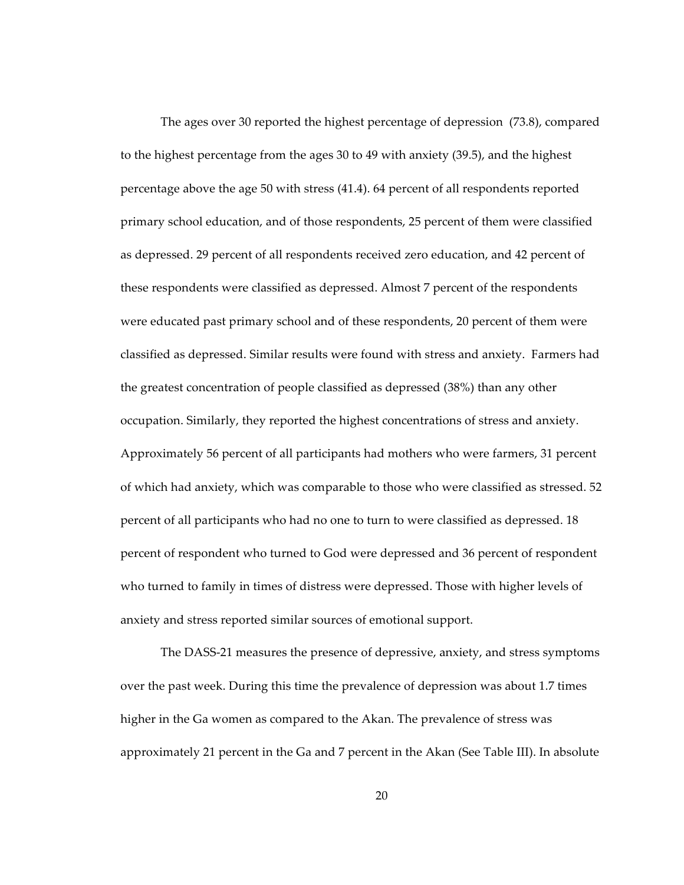The ages over 30 reported the highest percentage of depression (73.8), compared to the highest percentage from the ages 30 to 49 with anxiety (39.5), and the highest percentage above the age 50 with stress (41.4). 64 percent of all respondents reported primary school education, and of those respondents, 25 percent of them were classified as depressed. 29 percent of all respondents received zero education, and 42 percent of these respondents were classified as depressed. Almost 7 percent of the respondents were educated past primary school and of these respondents, 20 percent of them were classified as depressed. Similar results were found with stress and anxiety. Farmers had the greatest concentration of people classified as depressed (38%) than any other occupation. Similarly, they reported the highest concentrations of stress and anxiety. Approximately 56 percent of all participants had mothers who were farmers, 31 percent of which had anxiety, which was comparable to those who were classified as stressed. 52 percent of all participants who had no one to turn to were classified as depressed. 18 percent of respondent who turned to God were depressed and 36 percent of respondent who turned to family in times of distress were depressed. Those with higher levels of anxiety and stress reported similar sources of emotional support.

The DASS‑21 measures the presence of depressive, anxiety, and stress symptoms over the past week. During this time the prevalence of depression was about 1.7 times higher in the Ga women as compared to the Akan. The prevalence of stress was approximately 21 percent in the Ga and 7 percent in the Akan (See Table III). In absolute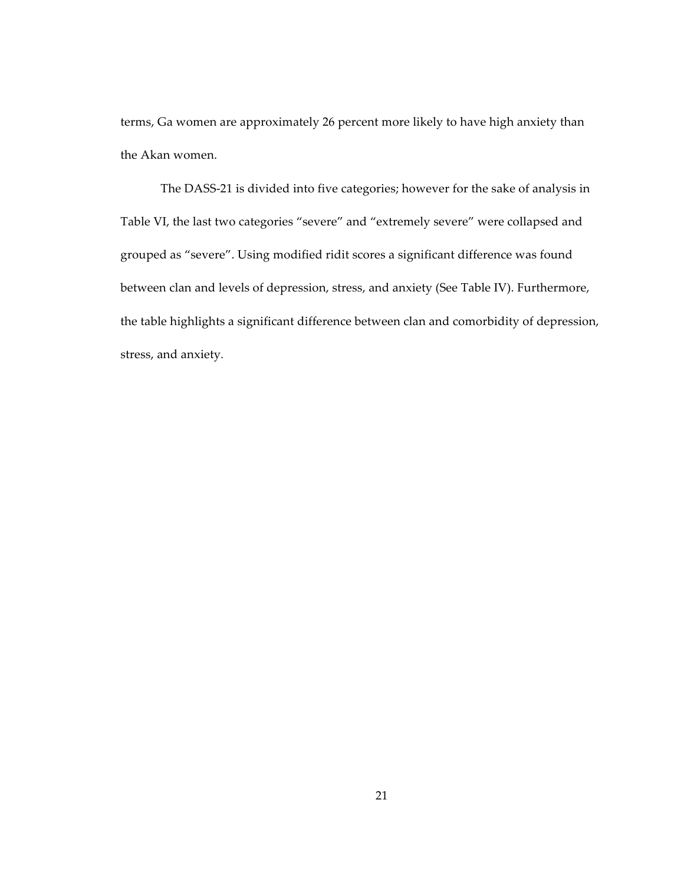terms, Ga women are approximately 26 percent more likely to have high anxiety than the Akan women.

The DASS-21 is divided into five categories; however for the sake of analysis in Table VI, the last two categories "severe" and "extremely severe" were collapsed and grouped as "severe". Using modified ridit scores a significant difference was found between clan and levels of depression, stress, and anxiety (See Table IV). Furthermore, the table highlights a significant difference between clan and comorbidity of depression, stress, and anxiety.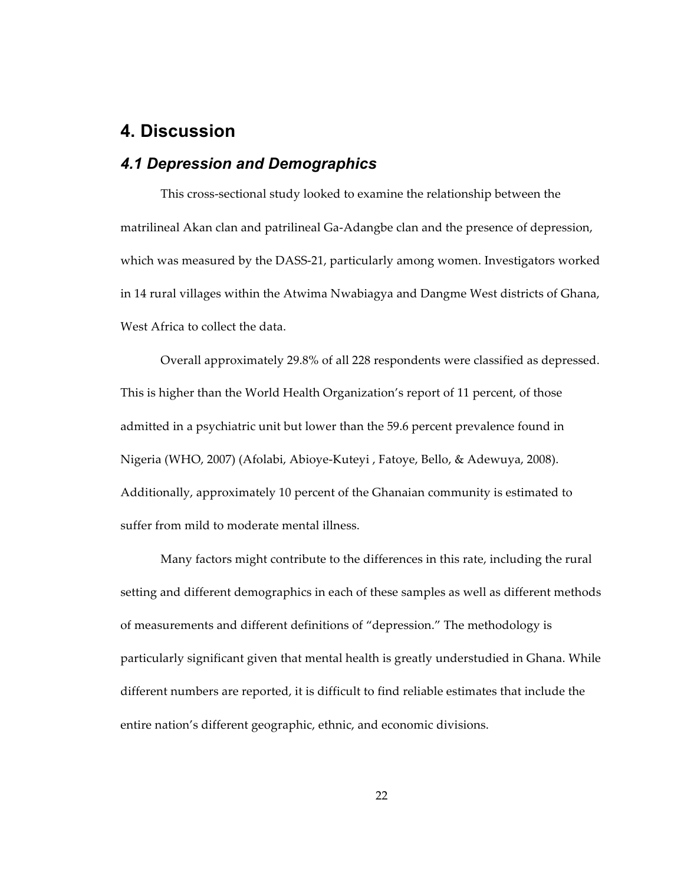## **4. Discussion**

## *4.1 Depression and Demographics*

This cross‑sectional study looked to examine the relationship between the matrilineal Akan clan and patrilineal Ga‑Adangbe clan and the presence of depression, which was measured by the DASS-21, particularly among women. Investigators worked in 14 rural villages within the Atwima Nwabiagya and Dangme West districts of Ghana, West Africa to collect the data.

Overall approximately 29.8% of all 228 respondents were classified as depressed. This is higher than the World Health Organization's report of 11 percent, of those admitted in a psychiatric unit but lower than the 59.6 percent prevalence found in Nigeria (WHO, 2007) (Afolabi, Abioye‑Kuteyi , Fatoye, Bello, & Adewuya, 2008). Additionally, approximately 10 percent of the Ghanaian community is estimated to suffer from mild to moderate mental illness.

Many factors might contribute to the differences in this rate, including the rural setting and different demographics in each of these samples as well as different methods of measurements and different definitions of "depression." The methodology is particularly significant given that mental health is greatly understudied in Ghana. While different numbers are reported, it is difficult to find reliable estimates that include the entire nation's different geographic, ethnic, and economic divisions.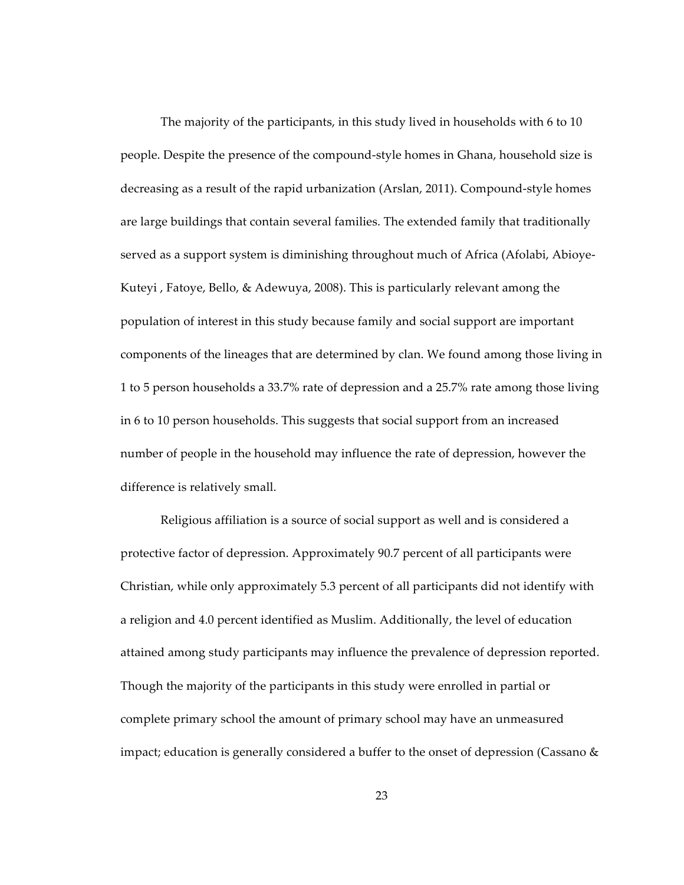The majority of the participants, in this study lived in households with 6 to 10 people. Despite the presence of the compound‑style homes in Ghana, household size is decreasing as a result of the rapid urbanization (Arslan, 2011). Compound‑style homes are large buildings that contain several families. The extended family that traditionally served as a support system is diminishing throughout much of Africa (Afolabi, Abioye-Kuteyi , Fatoye, Bello, & Adewuya, 2008). This is particularly relevant among the population of interest in this study because family and social support are important components of the lineages that are determined by clan. We found among those living in 1 to 5 person households a 33.7% rate of depression and a 25.7% rate among those living in 6 to 10 person households. This suggests that social support from an increased number of people in the household may influence the rate of depression, however the difference is relatively small.

Religious affiliation is a source of social support as well and is considered a protective factor of depression. Approximately 90.7 percent of all participants were Christian, while only approximately 5.3 percent of all participants did not identify with a religion and 4.0 percent identified as Muslim. Additionally, the level of education attained among study participants may influence the prevalence of depression reported. Though the majority of the participants in this study were enrolled in partial or complete primary school the amount of primary school may have an unmeasured impact; education is generally considered a buffer to the onset of depression (Cassano &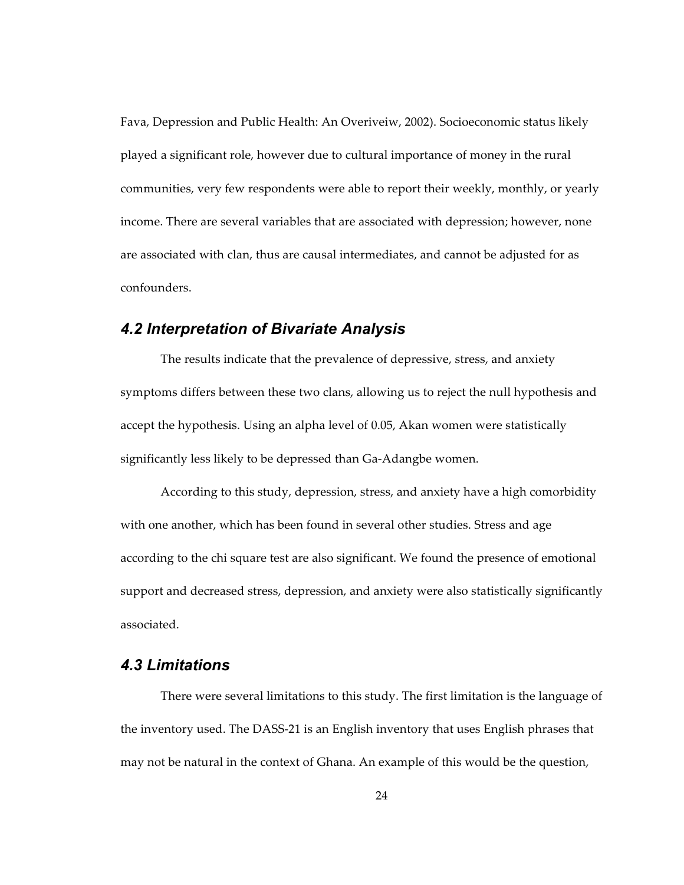Fava, Depression and Public Health: An Overiveiw, 2002). Socioeconomic status likely played a significant role, however due to cultural importance of money in the rural communities, very few respondents were able to report their weekly, monthly, or yearly income. There are several variables that are associated with depression; however, none are associated with clan, thus are causal intermediates, and cannot be adjusted for as confounders.

### *4.2 Interpretation of Bivariate Analysis*

The results indicate that the prevalence of depressive, stress, and anxiety symptoms differs between these two clans, allowing us to reject the null hypothesis and accept the hypothesis. Using an alpha level of 0.05, Akan women were statistically significantly less likely to be depressed than Ga-Adangbe women.

According to this study, depression, stress, and anxiety have a high comorbidity with one another, which has been found in several other studies. Stress and age according to the chi square test are also significant. We found the presence of emotional support and decreased stress, depression, and anxiety were also statistically significantly associated.

### *4.3 Limitations*

There were several limitations to this study. The first limitation is the language of the inventory used. The DASS‑21 is an English inventory that uses English phrases that may not be natural in the context of Ghana. An example of this would be the question,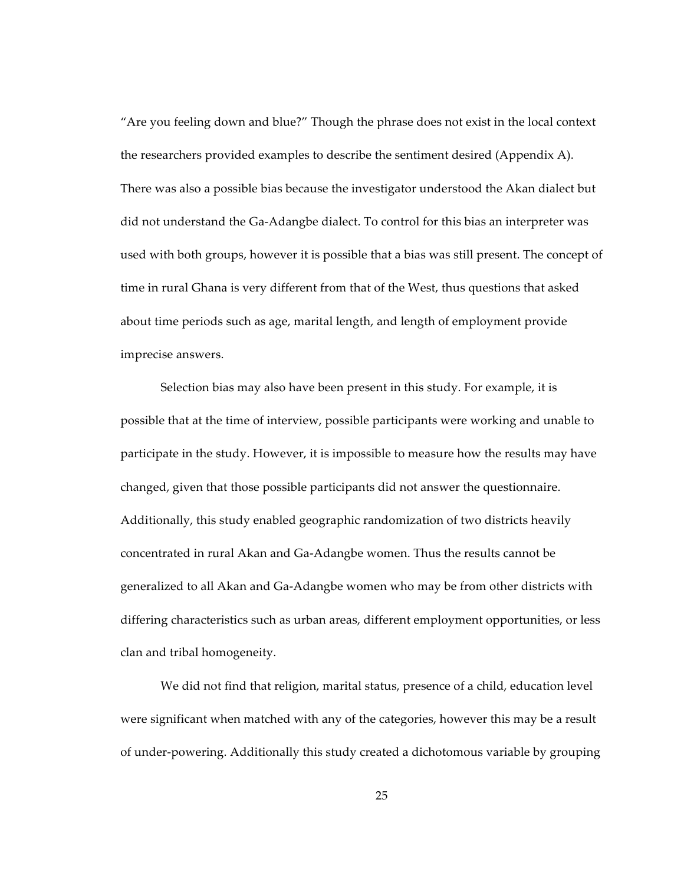"Are you feeling down and blue?" Though the phrase does not exist in the local context the researchers provided examples to describe the sentiment desired (Appendix A). There was also a possible bias because the investigator understood the Akan dialect but did not understand the Ga‑Adangbe dialect. To control for this bias an interpreter was used with both groups, however it is possible that a bias was still present. The concept of time in rural Ghana is very different from that of the West, thus questions that asked about time periods such as age, marital length, and length of employment provide imprecise answers.

Selection bias may also have been present in this study. For example, it is possible that at the time of interview, possible participants were working and unable to participate in the study. However, it is impossible to measure how the results may have changed, given that those possible participants did not answer the questionnaire. Additionally, this study enabled geographic randomization of two districts heavily concentrated in rural Akan and Ga‑Adangbe women. Thus the results cannot be generalized to all Akan and Ga‑Adangbe women who may be from other districts with differing characteristics such as urban areas, different employment opportunities, or less clan and tribal homogeneity.

We did not find that religion, marital status, presence of a child, education level were significant when matched with any of the categories, however this may be a result of under‑powering. Additionally this study created a dichotomous variable by grouping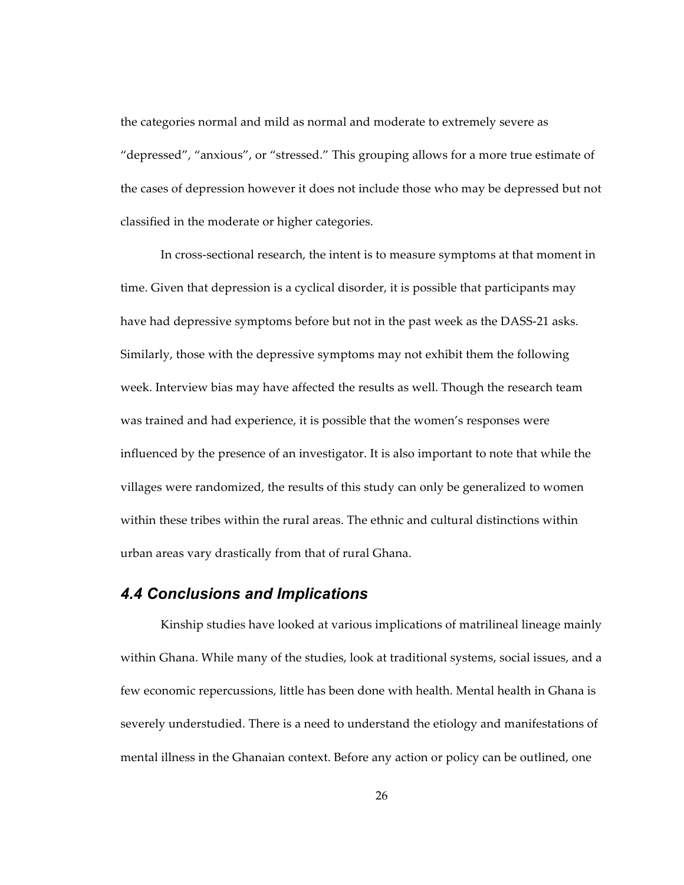the categories normal and mild as normal and moderate to extremely severe as "depressed", "anxious", or "stressed." This grouping allows for a more true estimate of the cases of depression however it does not include those who may be depressed but not classified in the moderate or higher categories.

In cross‑sectional research, the intent is to measure symptoms at that moment in time. Given that depression is a cyclical disorder, it is possible that participants may have had depressive symptoms before but not in the past week as the DASS-21 asks. Similarly, those with the depressive symptoms may not exhibit them the following week. Interview bias may have affected the results as well. Though the research team was trained and had experience, it is possible that the women's responses were influenced by the presence of an investigator. It is also important to note that while the villages were randomized, the results of this study can only be generalized to women within these tribes within the rural areas. The ethnic and cultural distinctions within urban areas vary drastically from that of rural Ghana.

#### *4.4 Conclusions and Implications*

Kinship studies have looked at various implications of matrilineal lineage mainly within Ghana. While many of the studies, look at traditional systems, social issues, and a few economic repercussions, little has been done with health. Mental health in Ghana is severely understudied. There is a need to understand the etiology and manifestations of mental illness in the Ghanaian context. Before any action or policy can be outlined, one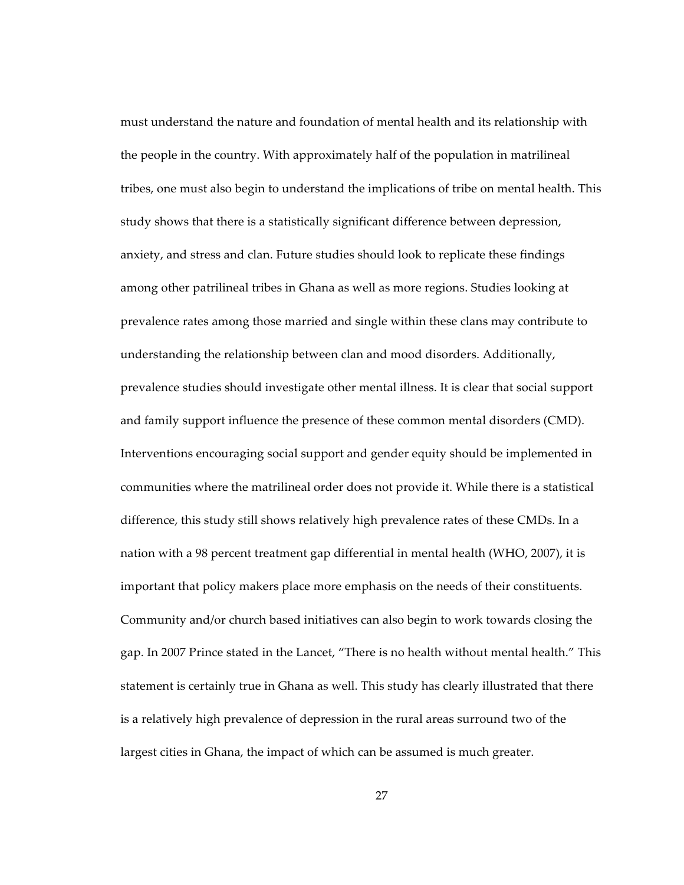must understand the nature and foundation of mental health and its relationship with the people in the country. With approximately half of the population in matrilineal tribes, one must also begin to understand the implications of tribe on mental health. This study shows that there is a statistically significant difference between depression, anxiety, and stress and clan. Future studies should look to replicate these findings among other patrilineal tribes in Ghana as well as more regions. Studies looking at prevalence rates among those married and single within these clans may contribute to understanding the relationship between clan and mood disorders. Additionally, prevalence studies should investigate other mental illness. It is clear that social support and family support influence the presence of these common mental disorders (CMD). Interventions encouraging social support and gender equity should be implemented in communities where the matrilineal order does not provide it. While there is a statistical difference, this study still shows relatively high prevalence rates of these CMDs. In a nation with a 98 percent treatment gap differential in mental health (WHO, 2007), it is important that policy makers place more emphasis on the needs of their constituents. Community and/or church based initiatives can also begin to work towards closing the gap. In 2007 Prince stated in the Lancet, "There is no health without mental health." This statement is certainly true in Ghana as well. This study has clearly illustrated that there is a relatively high prevalence of depression in the rural areas surround two of the largest cities in Ghana, the impact of which can be assumed is much greater.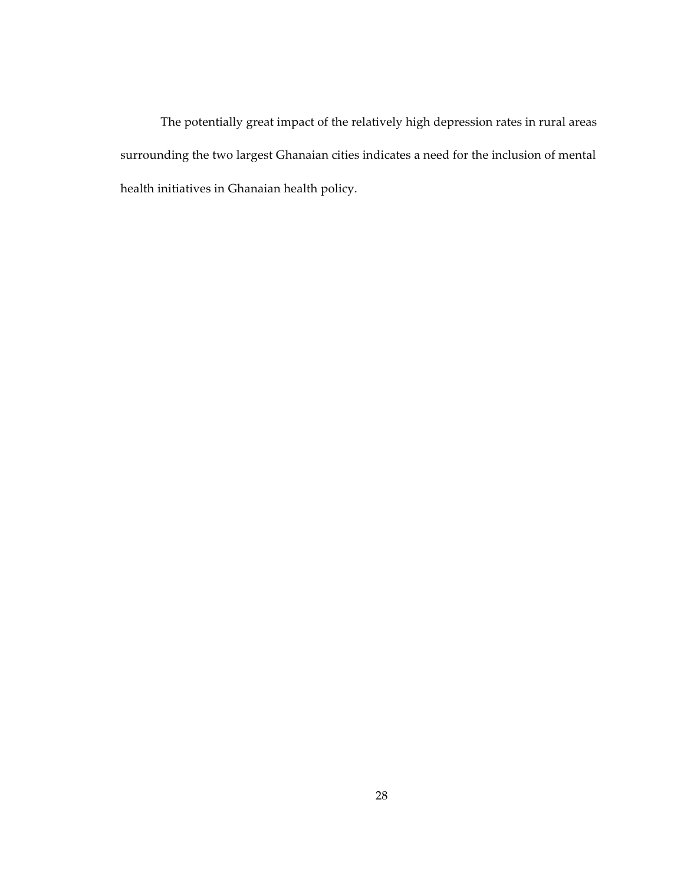The potentially great impact of the relatively high depression rates in rural areas surrounding the two largest Ghanaian cities indicates a need for the inclusion of mental health initiatives in Ghanaian health policy.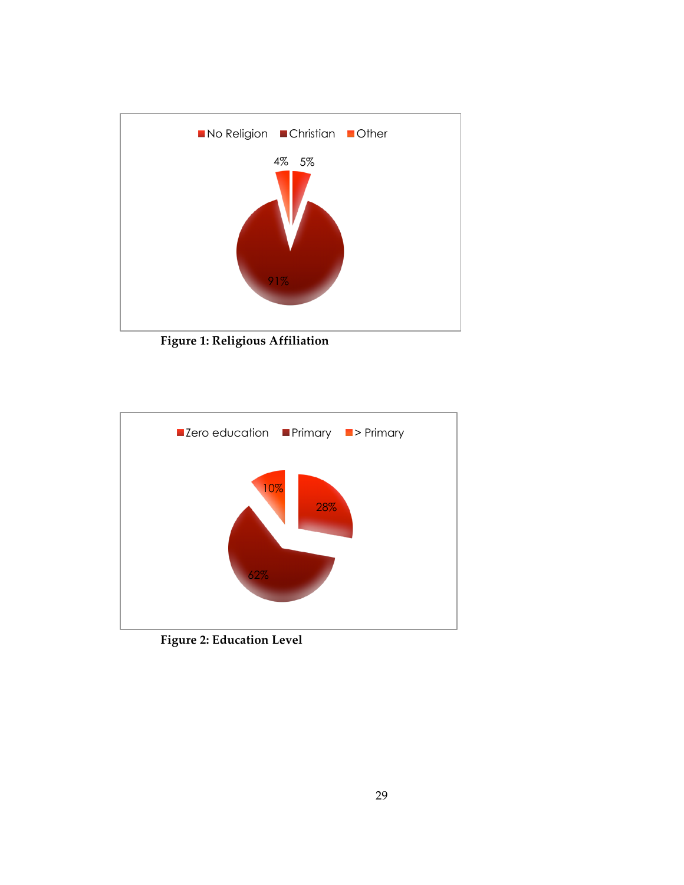

**Figure 1: Religious Affiliation**



**Figure 2: Education Level**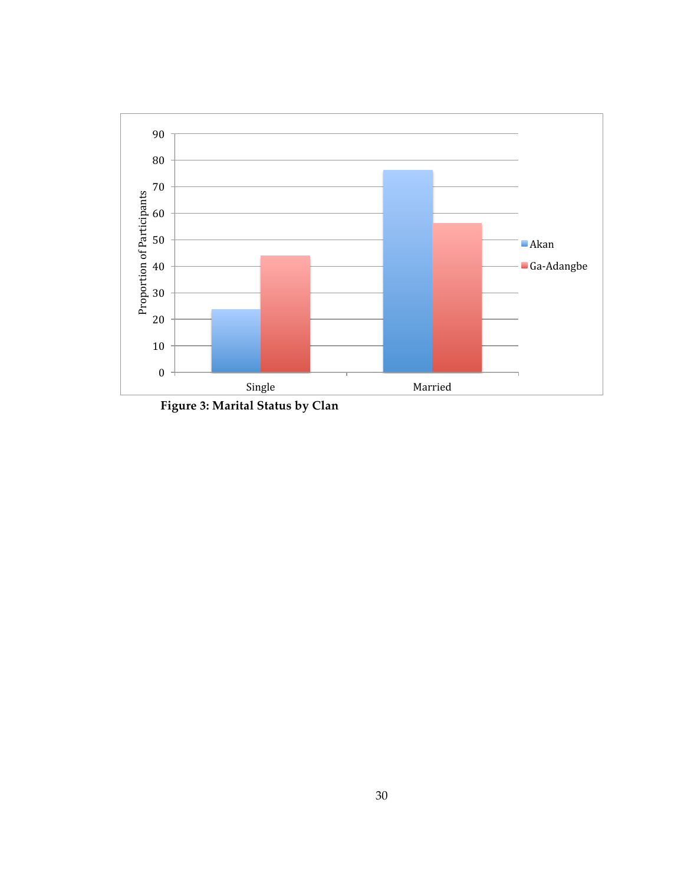

**Figure 3: Marital Status by Clan**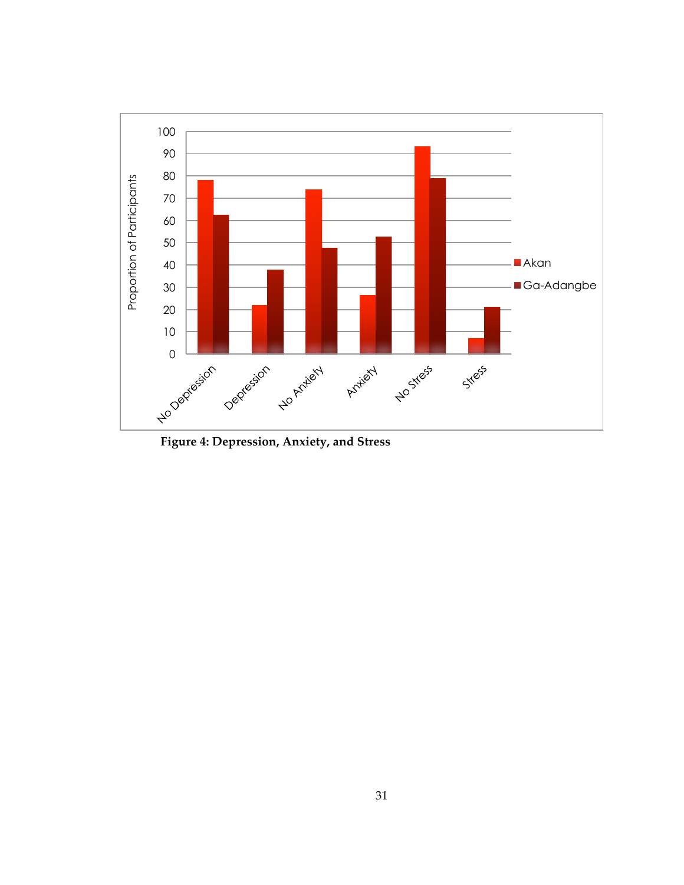

**Figure 4: Depression, Anxiety, and Stress**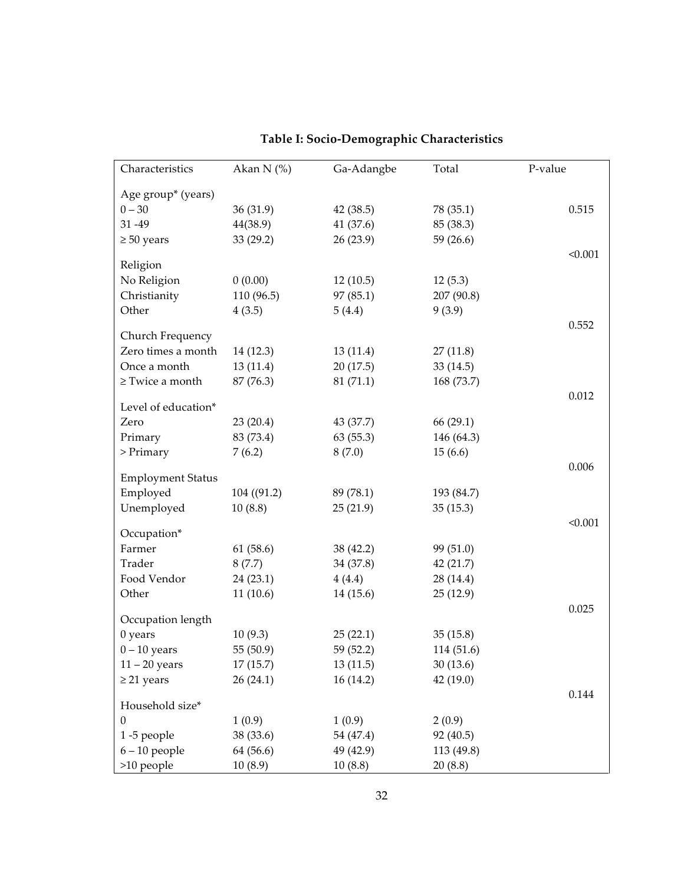| Characteristics                        | Akan N $(%)$ | Ga-Adangbe | Total      | P-value |
|----------------------------------------|--------------|------------|------------|---------|
| Age group* (years)                     |              |            |            |         |
| $0 - 30$                               | 36(31.9)     | 42(38.5)   | 78 (35.1)  | 0.515   |
| 31-49                                  | 44(38.9)     | 41 (37.6)  | 85 (38.3)  |         |
| $\geq 50$ years                        | 33 (29.2)    | 26(23.9)   | 59 (26.6)  |         |
|                                        |              |            |            | < 0.001 |
| Religion                               |              |            |            |         |
| No Religion                            | 0(0.00)      | 12(10.5)   | 12(5.3)    |         |
| Christianity                           | 110 (96.5)   | 97(85.1)   | 207 (90.8) |         |
| Other                                  | 4(3.5)       | 5(4.4)     | 9(3.9)     |         |
|                                        |              |            |            | 0.552   |
| Church Frequency<br>Zero times a month |              |            |            |         |
|                                        | 14 (12.3)    | 13(11.4)   | 27(11.8)   |         |
| Once a month                           | 13(11.4)     | 20(17.5)   | 33 (14.5)  |         |
| $\ge$ Twice a month                    | 87 (76.3)    | 81(71.1)   | 168 (73.7) |         |
| Level of education*                    |              |            |            | 0.012   |
| Zero                                   | 23(20.4)     | 43 (37.7)  | 66(29.1)   |         |
| Primary                                | 83 (73.4)    | 63(55.3)   | 146 (64.3) |         |
| $>$ Primary                            | 7(6.2)       | 8(7.0)     | 15(6.6)    |         |
|                                        |              |            |            | 0.006   |
| <b>Employment Status</b>               |              |            |            |         |
| Employed                               | 104 ((91.2)  | 89 (78.1)  | 193 (84.7) |         |
| Unemployed                             | 10(8.8)      | 25(21.9)   | 35(15.3)   |         |
|                                        |              |            |            | < 0.001 |
| Occupation*<br>Farmer                  |              |            |            |         |
|                                        | 61 (58.6)    | 38 (42.2)  | 99 (51.0)  |         |
| Trader                                 | 8(7.7)       | 34 (37.8)  | 42 (21.7)  |         |
| Food Vendor                            | 24(23.1)     | 4(4.4)     | 28 (14.4)  |         |
| Other                                  | 11(10.6)     | 14 (15.6)  | 25(12.9)   |         |
| Occupation length                      |              |            |            | 0.025   |
| $0$ years                              | 10(9.3)      | 25(22.1)   | 35(15.8)   |         |
| $0 - 10$ years                         | 55 (50.9)    | 59 (52.2)  | 114 (51.6) |         |
| $11 - 20$ years                        | 17(15.7)     | 13(11.5)   | 30 (13.6)  |         |
| $\geq$ 21 years                        | 26(24.1)     | 16(14.2)   | 42 (19.0)  |         |
|                                        |              |            |            | 0.144   |
| Household size*                        |              |            |            |         |
| $\boldsymbol{0}$                       | 1(0.9)       | 1(0.9)     | 2(0.9)     |         |
| 1-5 people                             | 38 (33.6)    | 54 (47.4)  | 92 (40.5)  |         |
| $6 - 10$ people                        | 64 (56.6)    | 49 (42.9)  | 113 (49.8) |         |
| >10 people                             | 10(8.9)      | 10(8.8)    | 20(8.8)    |         |

## **Table I: Socio‑Demographic Characteristics**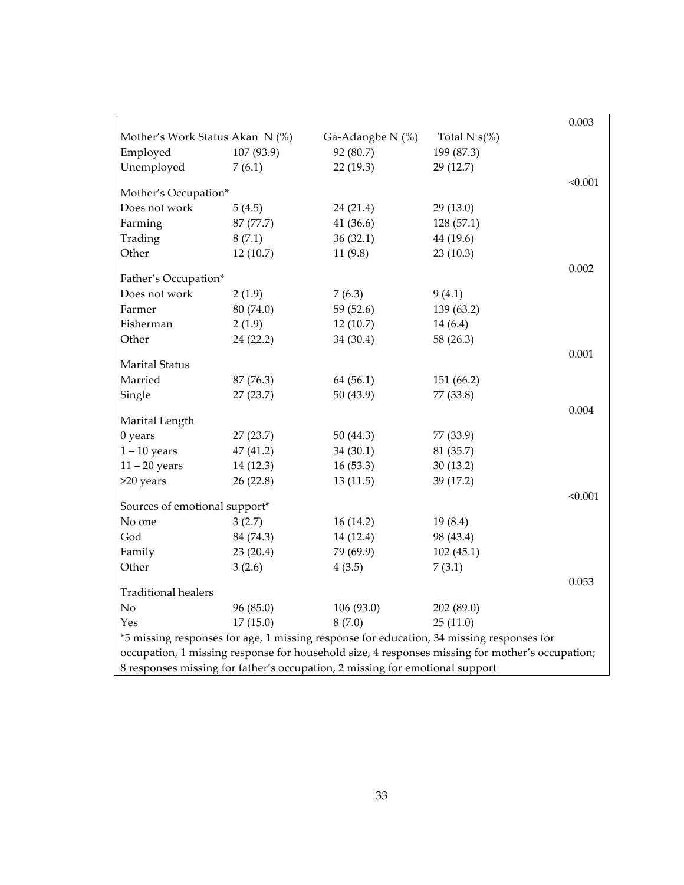|                                                                              |            |                  |                                                                                                 | 0.003   |
|------------------------------------------------------------------------------|------------|------------------|-------------------------------------------------------------------------------------------------|---------|
| Mother's Work Status Akan N (%)                                              |            | Ga-Adangbe N (%) | Total N $s$ (%)                                                                                 |         |
| Employed                                                                     | 107 (93.9) | 92 (80.7)        | 199 (87.3)                                                                                      |         |
| Unemployed                                                                   | 7(6.1)     | 22(19.3)         | 29 (12.7)                                                                                       |         |
| Mother's Occupation*                                                         |            |                  |                                                                                                 | < 0.001 |
| Does not work                                                                | 5(4.5)     | 24(21.4)         | 29(13.0)                                                                                        |         |
| Farming                                                                      | 87 (77.7)  | 41(36.6)         | 128 (57.1)                                                                                      |         |
| Trading                                                                      | 8(7.1)     | 36(32.1)         | 44 (19.6)                                                                                       |         |
| Other                                                                        | 12(10.7)   | 11(9.8)          | 23(10.3)                                                                                        |         |
|                                                                              |            |                  |                                                                                                 | 0.002   |
| Father's Occupation*                                                         |            |                  |                                                                                                 |         |
| Does not work                                                                | 2(1.9)     | 7(6.3)           | 9(4.1)                                                                                          |         |
| Farmer                                                                       | 80 (74.0)  | 59 (52.6)        | 139 (63.2)                                                                                      |         |
| Fisherman                                                                    | 2(1.9)     | 12(10.7)         | 14(6.4)                                                                                         |         |
| Other                                                                        | 24 (22.2)  | 34 (30.4)        | 58 (26.3)                                                                                       |         |
|                                                                              |            |                  |                                                                                                 | 0.001   |
| Marital Status                                                               |            |                  |                                                                                                 |         |
| Married                                                                      | 87 (76.3)  | 64 (56.1)        | 151 (66.2)                                                                                      |         |
| Single                                                                       | 27(23.7)   | 50(43.9)         | 77 (33.8)                                                                                       |         |
| Marital Length                                                               |            |                  |                                                                                                 | 0.004   |
| 0 years                                                                      | 27(23.7)   | 50 $(44.3)$      | 77 (33.9)                                                                                       |         |
| $1 - 10$ years                                                               | 47 (41.2)  | 34(30.1)         | 81 (35.7)                                                                                       |         |
| $11 - 20$ years                                                              | 14 (12.3)  | 16(53.3)         | 30(13.2)                                                                                        |         |
| >20 years                                                                    | 26(22.8)   | 13(11.5)         | 39 (17.2)                                                                                       |         |
|                                                                              |            |                  |                                                                                                 | < 0.001 |
| Sources of emotional support*                                                |            |                  |                                                                                                 |         |
| No one                                                                       | 3(2.7)     | 16(14.2)         | 19(8.4)                                                                                         |         |
| God                                                                          | 84 (74.3)  | 14 (12.4)        | 98 (43.4)                                                                                       |         |
| Family                                                                       | 23(20.4)   | 79 (69.9)        | 102(45.1)                                                                                       |         |
| Other                                                                        | 3(2.6)     | 4(3.5)           | 7(3.1)                                                                                          |         |
| <b>Traditional healers</b>                                                   |            |                  |                                                                                                 | 0.053   |
| No                                                                           | 96 (85.0)  | 106 (93.0)       | 202 (89.0)                                                                                      |         |
| Yes                                                                          | 17(15.0)   | 8(7.0)           | 25(11.0)                                                                                        |         |
|                                                                              |            |                  | *5 missing responses for age, 1 missing response for education, 34 missing responses for        |         |
|                                                                              |            |                  | occupation, 1 missing response for household size, 4 responses missing for mother's occupation; |         |
| 8 responses missing for father's occupation, 2 missing for emotional support |            |                  |                                                                                                 |         |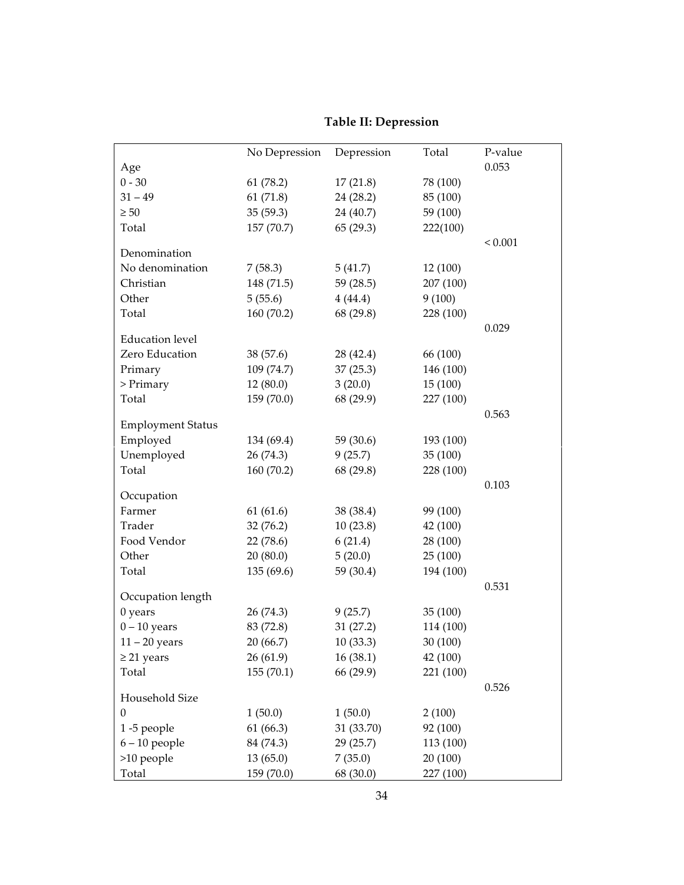|                          | No Depression | Depression | Total     | P-value     |
|--------------------------|---------------|------------|-----------|-------------|
| Age                      |               |            |           | 0.053       |
| $0 - 30$                 | 61(78.2)      | 17(21.8)   | 78 (100)  |             |
| $31 - 49$                | 61(71.8)      | 24(28.2)   | 85 (100)  |             |
| $\geq 50$                | 35(59.3)      | 24 (40.7)  | 59 (100)  |             |
| Total                    | 157 (70.7)    | 65(29.3)   | 222(100)  |             |
|                          |               |            |           | ${}< 0.001$ |
| Denomination             |               |            |           |             |
| No denomination          | 7(58.3)       | 5(41.7)    | 12 (100)  |             |
| Christian                | 148 (71.5)    | 59(28.5)   | 207 (100) |             |
| Other                    | 5(55.6)       | 4(44.4)    | 9(100)    |             |
| Total                    | 160(70.2)     | 68 (29.8)  | 228 (100) |             |
| <b>Education</b> level   |               |            |           | 0.029       |
| Zero Education           | 38 (57.6)     | 28 (42.4)  | 66 (100)  |             |
| Primary                  | 109(74.7)     | 37(25.3)   | 146 (100) |             |
| $>$ Primary              | 12(80.0)      | 3(20.0)    | 15(100)   |             |
| Total                    | 159 (70.0)    | 68 (29.9)  | 227 (100) |             |
|                          |               |            |           | 0.563       |
| <b>Employment Status</b> |               |            |           |             |
| Employed                 | 134 (69.4)    | 59 (30.6)  | 193 (100) |             |
| Unemployed               | 26 (74.3)     | 9(25.7)    | 35 (100)  |             |
| Total                    | 160(70.2)     | 68 (29.8)  | 228 (100) |             |
|                          |               |            |           | 0.103       |
| Occupation               |               |            |           |             |
| Farmer                   | 61(61.6)      | 38 (38.4)  | 99 (100)  |             |
| Trader                   | 32(76.2)      | 10(23.8)   | 42 (100)  |             |
| Food Vendor              | 22(78.6)      | 6(21.4)    | 28 (100)  |             |
| Other                    | 20(80.0)      | 5(20.0)    | 25(100)   |             |
| Total                    | 135 (69.6)    | 59 (30.4)  | 194 (100) |             |
| Occupation length        |               |            |           | 0.531       |
| $0$ years                | 26(74.3)      | 9(25.7)    | 35(100)   |             |
| $0 - 10$ years           | 83 (72.8)     | 31(27.2)   | 114 (100) |             |
| $11 - 20$ years          | 20 (66.7)     | 10(33.3)   | 30 (100)  |             |
| $\geq$ 21 years          | 26(61.9)      | 16(38.1)   | 42 (100)  |             |
| Total                    | 155(70.1)     | 66 (29.9)  | 221 (100) |             |
|                          |               |            |           | 0.526       |
| Household Size           |               |            |           |             |
| 0                        | 1(50.0)       | 1(50.0)    | 2(100)    |             |
| 1-5 people               | 61(66.3)      | 31 (33.70) | 92 (100)  |             |
| $6 - 10$ people          | 84 (74.3)     | 29(25.7)   | 113 (100) |             |
| >10 people               | 13(65.0)      | 7(35.0)    | 20 (100)  |             |
| Total                    | 159 (70.0)    | 68 (30.0)  | 227 (100) |             |

#### **Table II: Depression**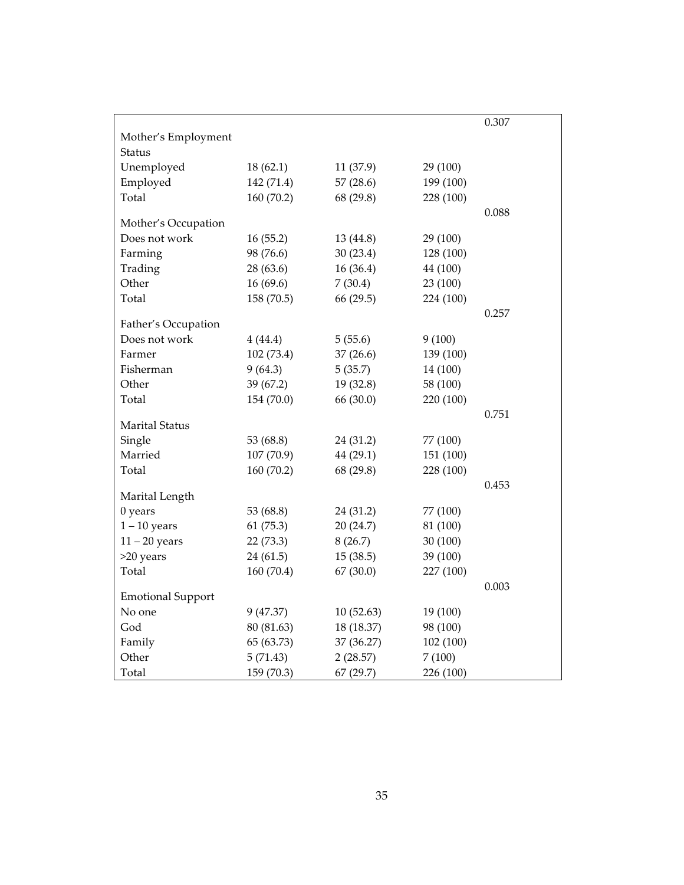|                          |            |            |           | 0.307 |
|--------------------------|------------|------------|-----------|-------|
| Mother's Employment      |            |            |           |       |
| Status                   |            |            |           |       |
| Unemployed               | 18(62.1)   | 11 (37.9)  | 29 (100)  |       |
| Employed                 | 142 (71.4) | 57(28.6)   | 199 (100) |       |
| Total                    | 160 (70.2) | 68 (29.8)  | 228 (100) |       |
| Mother's Occupation      |            |            |           | 0.088 |
| Does not work            | 16(55.2)   | 13 (44.8)  | 29 (100)  |       |
| Farming                  | 98 (76.6)  | 30(23.4)   | 128 (100) |       |
| Trading                  | 28 (63.6)  | 16(36.4)   | 44 (100)  |       |
| Other                    | 16(69.6)   | 7(30.4)    | 23 (100)  |       |
| Total                    | 158 (70.5) | 66 (29.5)  | 224 (100) |       |
|                          |            |            |           | 0.257 |
| Father's Occupation      |            |            |           |       |
| Does not work            | 4(44.4)    | 5(55.6)    | 9(100)    |       |
| Farmer                   | 102 (73.4) | 37(26.6)   | 139 (100) |       |
| Fisherman                | 9(64.3)    | 5(35.7)    | 14 (100)  |       |
| Other                    | 39 (67.2)  | 19(32.8)   | 58 (100)  |       |
| Total                    | 154 (70.0) | 66 (30.0)  | 220 (100) |       |
|                          |            |            |           | 0.751 |
| Marital Status           |            |            |           |       |
| Single                   | 53 (68.8)  | 24 (31.2)  | 77 (100)  |       |
| Married                  | 107 (70.9) | 44(29.1)   | 151 (100) |       |
| Total                    | 160 (70.2) | 68 (29.8)  | 228 (100) |       |
| Marital Length           |            |            |           | 0.453 |
| 0 years                  | 53 (68.8)  | 24 (31.2)  | 77 (100)  |       |
| $1 - 10$ years           | 61(75.3)   | 20(24.7)   | 81 (100)  |       |
| $11 - 20$ years          | 22(73.3)   | 8(26.7)    | 30(100)   |       |
| >20 years                | 24 (61.5)  | 15(38.5)   | 39 (100)  |       |
| Total                    | 160 (70.4) | 67(30.0)   | 227 (100) |       |
|                          |            |            |           | 0.003 |
| <b>Emotional Support</b> |            |            |           |       |
| No one                   | 9 (47.37)  | 10(52.63)  | 19 (100)  |       |
| God                      | 80 (81.63) | 18 (18.37) | 98 (100)  |       |
| Family                   | 65 (63.73) | 37 (36.27) | 102 (100) |       |
| Other                    | 5(71.43)   | 2(28.57)   | 7(100)    |       |
| Total                    | 159 (70.3) | 67(29.7)   | 226 (100) |       |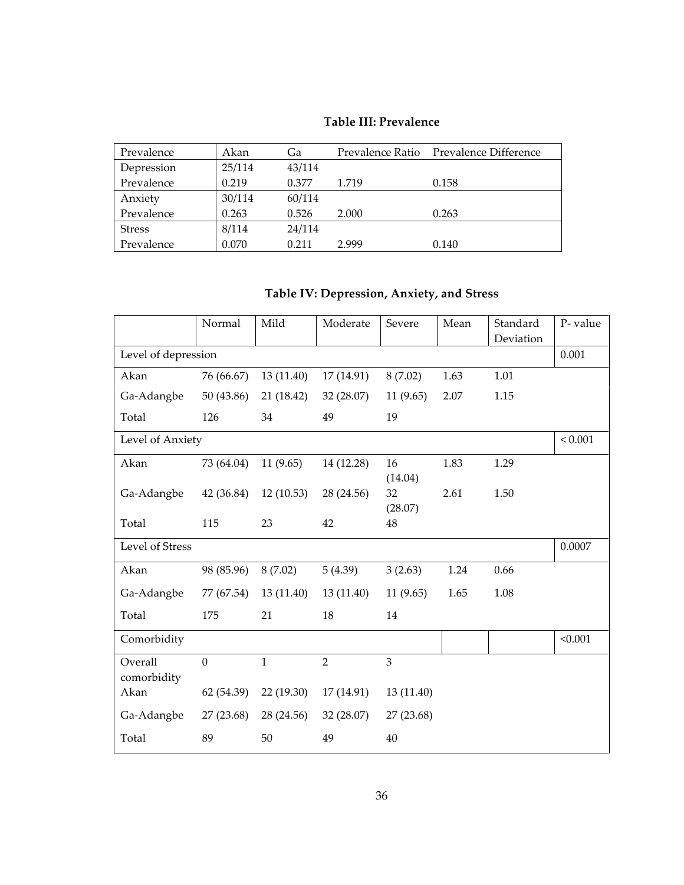#### **Table III: Prevalence**

| Prevalence    | Akan   | Ga     |       | Prevalence Ratio Prevalence Difference |
|---------------|--------|--------|-------|----------------------------------------|
| Depression    | 25/114 | 43/114 |       |                                        |
| Prevalence    | 0.219  | 0.377  | 1.719 | 0.158                                  |
| Anxiety       | 30/114 | 60/114 |       |                                        |
| Prevalence    | 0.263  | 0.526  | 2.000 | 0.263                                  |
| <b>Stress</b> | 8/114  | 24/114 |       |                                        |
| Prevalence    | 0.070  | 0.211  | 2.999 | 0.140                                  |

## **Table IV: Depression, Anxiety, and Stress**

|                        | Normal     | Mild         | Moderate       | Severe                   | Mean | Standard  | P-value     |
|------------------------|------------|--------------|----------------|--------------------------|------|-----------|-------------|
|                        |            |              |                |                          |      | Deviation |             |
| Level of depression    |            |              |                |                          |      |           | 0.001       |
| Akan                   | 76 (66.67) | 13(11.40)    | 17(14.91)      | 8(7.02)                  | 1.63 | 1.01      |             |
| Ga-Adangbe             | 50 (43.86) | 21 (18.42)   | 32(28.07)      | 11(9.65)                 | 2.07 | 1.15      |             |
| Total                  | 126        | 34           | 49             | 19                       |      |           |             |
| Level of Anxiety       |            |              |                |                          |      |           | ${}< 0.001$ |
| Akan                   | 73 (64.04) | 11(9.65)     | 14 (12.28)     | 16                       | 1.83 | 1.29      |             |
| Ga-Adangbe             | 42 (36.84) | 12(10.53)    | 28 (24.56)     | (14.04)<br>32<br>(28.07) | 2.61 | 1.50      |             |
| Total                  | 115        | 23           | 42             | 48                       |      |           |             |
| Level of Stress        |            |              |                |                          |      |           | 0.0007      |
| Akan                   | 98 (85.96) | 8(7.02)      | 5(4.39)        | 3(2.63)                  | 1.24 | 0.66      |             |
| Ga-Adangbe             | 77 (67.54) | 13(11.40)    | 13(11.40)      | 11(9.65)                 | 1.65 | 1.08      |             |
| Total                  | 175        | 21           | 18             | 14                       |      |           |             |
| Comorbidity            |            |              |                |                          |      |           | < 0.001     |
| Overall<br>comorbidity | $\theta$   | $\mathbf{1}$ | $\overline{2}$ | 3                        |      |           |             |
| Akan                   | 62 (54.39) | 22(19.30)    | 17(14.91)      | 13 (11.40)               |      |           |             |
| Ga-Adangbe             | 27(23.68)  | 28 (24.56)   | 32 (28.07)     | 27 (23.68)               |      |           |             |
| Total                  | 89         | 50           | 49             | 40                       |      |           |             |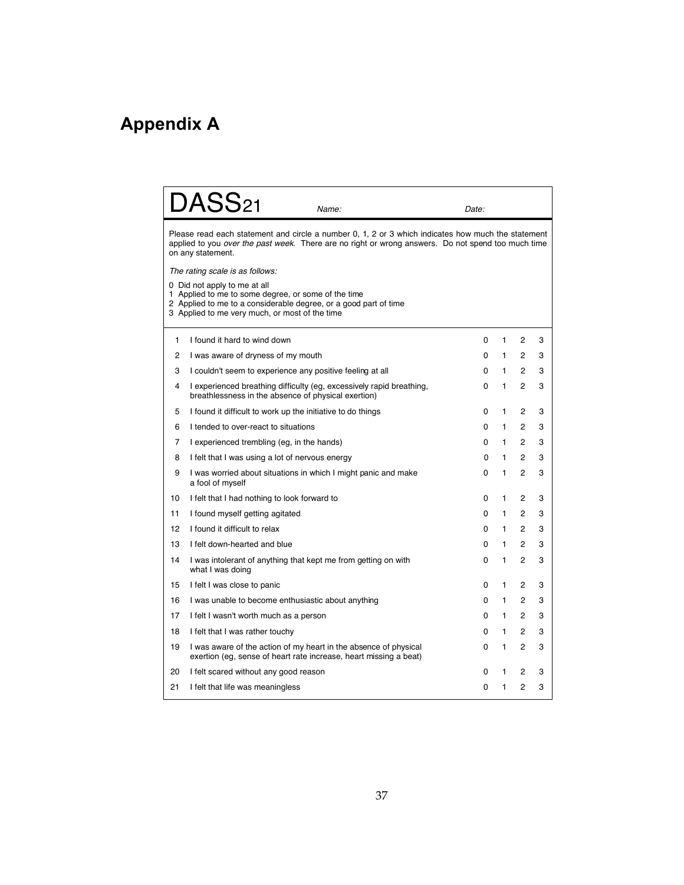# **Appendix A**

|    | $\mathrm{DASS}_{21}$                                                                                                                                                                                                          | Name:                                                                                                                                 | Date: |    |                |   |  |  |  |
|----|-------------------------------------------------------------------------------------------------------------------------------------------------------------------------------------------------------------------------------|---------------------------------------------------------------------------------------------------------------------------------------|-------|----|----------------|---|--|--|--|
|    | Please read each statement and circle a number 0, 1, 2 or 3 which indicates how much the statement<br>applied to you over the past week. There are no right or wrong answers. Do not spend too much time<br>on any statement. |                                                                                                                                       |       |    |                |   |  |  |  |
|    | The rating scale is as follows:                                                                                                                                                                                               |                                                                                                                                       |       |    |                |   |  |  |  |
|    | 0 Did not apply to me at all<br>1 Applied to me to some degree, or some of the time<br>2 Applied to me to a considerable degree, or a good part of time<br>3 Applied to me very much, or most of the time                     |                                                                                                                                       |       |    |                |   |  |  |  |
| 1  | I found it hard to wind down                                                                                                                                                                                                  |                                                                                                                                       | 0     | 1  | 2              | 3 |  |  |  |
| 2  | I was aware of dryness of my mouth                                                                                                                                                                                            |                                                                                                                                       | 0     | 1. | 2              | 3 |  |  |  |
| 3  | I couldn't seem to experience any positive feeling at all                                                                                                                                                                     |                                                                                                                                       | 0     | 1  | $\overline{c}$ | 3 |  |  |  |
| 4  | breathlessness in the absence of physical exertion)                                                                                                                                                                           | I experienced breathing difficulty (eg, excessively rapid breathing,                                                                  | 0     | 1  | $\overline{c}$ | 3 |  |  |  |
| 5  | I found it difficult to work up the initiative to do things                                                                                                                                                                   |                                                                                                                                       | 0     | 1  | 2              | 3 |  |  |  |
| 6  | I tended to over-react to situations                                                                                                                                                                                          |                                                                                                                                       | 0     | 1  | $\overline{c}$ | 3 |  |  |  |
| 7  | I experienced trembling (eg, in the hands)                                                                                                                                                                                    |                                                                                                                                       | 0     | 1  | 2              | 3 |  |  |  |
| 8  | I felt that I was using a lot of nervous energy                                                                                                                                                                               |                                                                                                                                       | 0     | 1  | $\overline{2}$ | 3 |  |  |  |
| 9  | a fool of myself                                                                                                                                                                                                              | I was worried about situations in which I might panic and make                                                                        | 0     | 1  | 2              | 3 |  |  |  |
| 10 | I felt that I had nothing to look forward to                                                                                                                                                                                  |                                                                                                                                       | 0     | 1  | 2              | 3 |  |  |  |
| 11 | I found myself getting agitated                                                                                                                                                                                               |                                                                                                                                       | 0     | 1. | 2              | 3 |  |  |  |
| 12 | I found it difficult to relax                                                                                                                                                                                                 |                                                                                                                                       | 0     | 1. | 2              | 3 |  |  |  |
| 13 | I felt down-hearted and blue                                                                                                                                                                                                  |                                                                                                                                       | 0     | 1  | 2              | 3 |  |  |  |
| 14 | I was intolerant of anything that kept me from getting on with<br>what I was doing                                                                                                                                            |                                                                                                                                       | 0     | 1  | 2              | 3 |  |  |  |
| 15 | I felt I was close to panic                                                                                                                                                                                                   |                                                                                                                                       | 0     | 1  | 2              | 3 |  |  |  |
| 16 | I was unable to become enthusiastic about anything                                                                                                                                                                            |                                                                                                                                       | 0     | 1  | $\overline{2}$ | 3 |  |  |  |
| 17 | I felt I wasn't worth much as a person                                                                                                                                                                                        |                                                                                                                                       | 0     | 1  | 2              | 3 |  |  |  |
| 18 | I felt that I was rather touchy                                                                                                                                                                                               |                                                                                                                                       | 0     | 1  | 2              | 3 |  |  |  |
| 19 |                                                                                                                                                                                                                               | I was aware of the action of my heart in the absence of physical<br>exertion (eg, sense of heart rate increase, heart missing a beat) | 0     | 1  | $\overline{c}$ | 3 |  |  |  |
| 20 | I felt scared without any good reason                                                                                                                                                                                         |                                                                                                                                       | 0     | 1  | 2              | 3 |  |  |  |
| 21 | I felt that life was meaningless                                                                                                                                                                                              |                                                                                                                                       | 0     | 1  | 2              | 3 |  |  |  |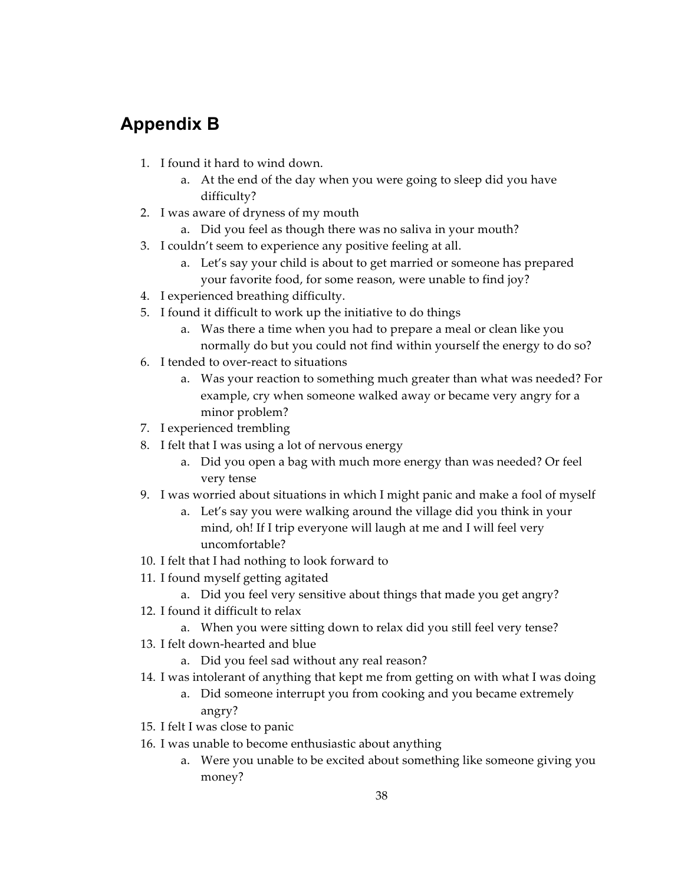## **Appendix B**

- 1. I found it hard to wind down.
	- a. At the end of the day when you were going to sleep did you have difficulty?
- 2. I was aware of dryness of my mouth
	- a. Did you feel as though there was no saliva in your mouth?
- 3. I couldn't seem to experience any positive feeling at all.
	- a. Let's say your child is about to get married or someone has prepared your favorite food, for some reason, were unable to find joy?
- 4. I experienced breathing difficulty.
- 5. I found it difficult to work up the initiative to do things
	- a. Was there a time when you had to prepare a meal or clean like you normally do but you could not find within yourself the energy to do so?
- 6. I tended to over‑react to situations
	- a. Was your reaction to something much greater than what was needed? For example, cry when someone walked away or became very angry for a minor problem?
- 7. I experienced trembling
- 8. I felt that I was using a lot of nervous energy
	- a. Did you open a bag with much more energy than was needed? Or feel very tense
- 9. I was worried about situations in which I might panic and make a fool of myself
	- a. Let's say you were walking around the village did you think in your mind, oh! If I trip everyone will laugh at me and I will feel very uncomfortable?
- 10. I felt that I had nothing to look forward to
- 11. I found myself getting agitated
	- a. Did you feel very sensitive about things that made you get angry?
- 12. I found it difficult to relax
	- a. When you were sitting down to relax did you still feel very tense?
- 13. I felt down‑hearted and blue
	- a. Did you feel sad without any real reason?
- 14. I was intolerant of anything that kept me from getting on with what I was doing
	- a. Did someone interrupt you from cooking and you became extremely angry?
- 15. I felt I was close to panic
- 16. I was unable to become enthusiastic about anything
	- a. Were you unable to be excited about something like someone giving you money?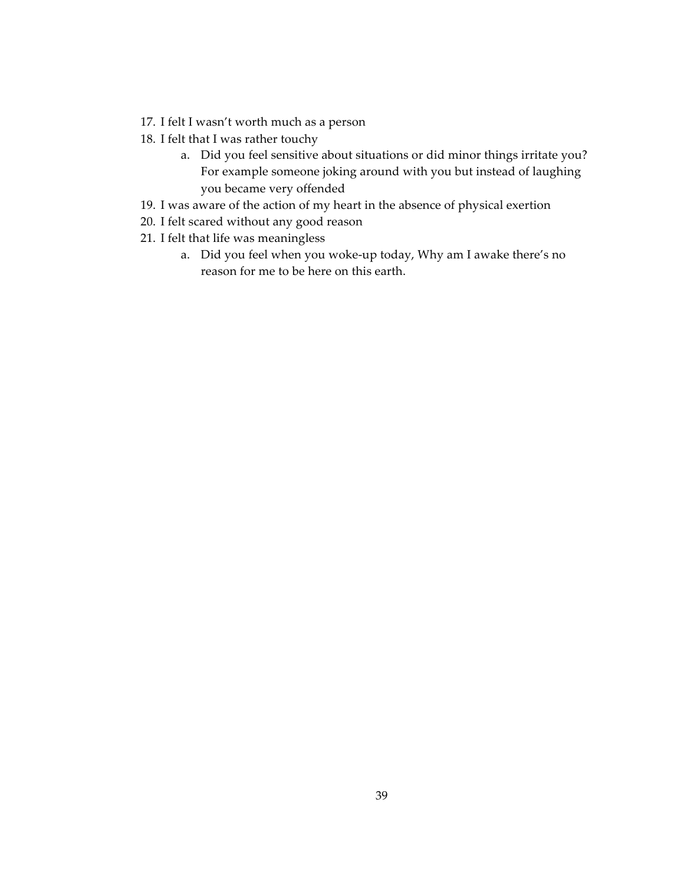- 17. I felt I wasn't worth much as a person
- 18. I felt that I was rather touchy
	- a. Did you feel sensitive about situations or did minor things irritate you? For example someone joking around with you but instead of laughing you became very offended
- 19. I was aware of the action of my heart in the absence of physical exertion
- 20. I felt scared without any good reason
- 21. I felt that life was meaningless
	- a. Did you feel when you woke-up today, Why am I awake there's no reason for me to be here on this earth.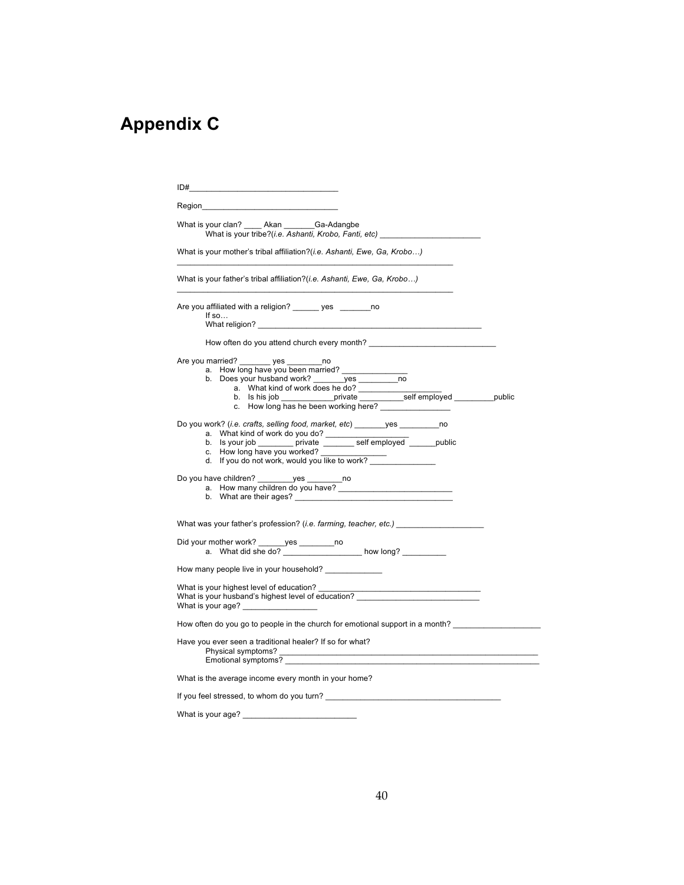# **Appendix C**

| ID#<br>the control of the control of the control of the control of the control of the control of                                                                |  |
|-----------------------------------------------------------------------------------------------------------------------------------------------------------------|--|
|                                                                                                                                                                 |  |
| What is your clan? Akan Ga-Adangbe<br>What is your tribe?(i.e. Ashanti, Krobo, Fanti, etc) ___________________________                                          |  |
| What is your mother's tribal affiliation?( <i>i.e. Ashanti, Ewe, Ga, Krobo</i> )                                                                                |  |
| What is your father's tribal affiliation?( <i>i.e. Ashanti, Ewe, Ga, Krobo</i> )                                                                                |  |
| Are you affiliated with a religion? _______ yes ________ no<br>If $so$                                                                                          |  |
|                                                                                                                                                                 |  |
| Are you married? ________ yes _________ no<br>a. How long have you been married?<br>a. What kind of work does he do?<br>c. How long has he been working here?   |  |
| Do you work? (i.e. crafts, selling food, market, etc) _______ yes ________ no<br>c. How long have you worked?<br>d. If you do not work, would you like to work? |  |
| Do you have children? _________ yes __________ no<br>a. How many children do you have?                                                                          |  |
| What was your father's profession? (i.e. farming, teacher, etc.)                                                                                                |  |
| Did your mother work? ______ yes ________ no<br>a. What did she do? __________________ how long? __________                                                     |  |
| How many people live in your household? ______________                                                                                                          |  |
| What is your highest level of education? _______<br>What is your age?                                                                                           |  |
| How often do you go to people in the church for emotional support in a month?                                                                                   |  |
| Have you ever seen a traditional healer? If so for what?<br>Emotional symptoms?                                                                                 |  |
| What is the average income every month in your home?                                                                                                            |  |
| If you feel stressed, to whom do you turn?                                                                                                                      |  |
| What is your age?                                                                                                                                               |  |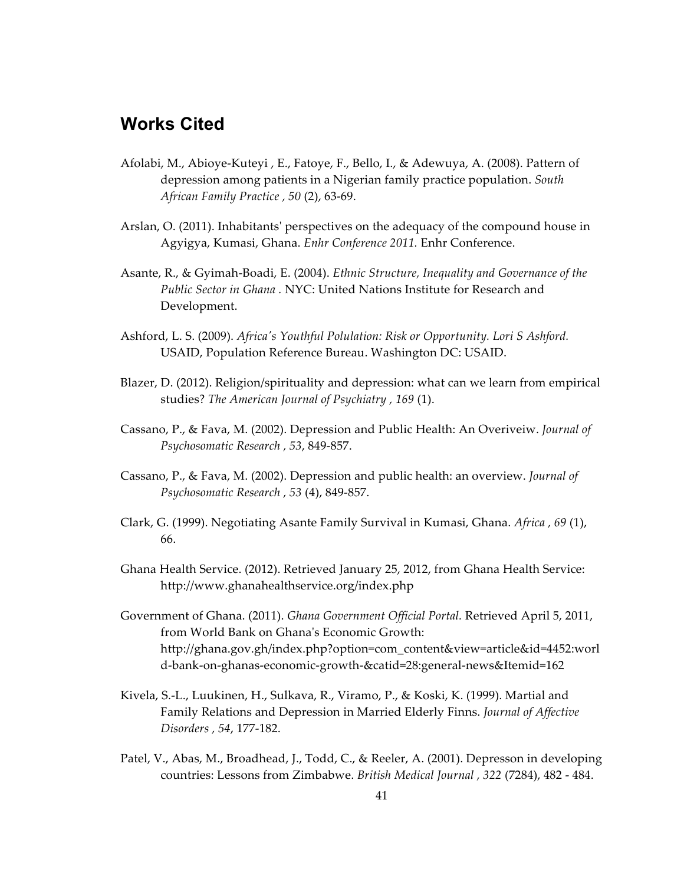## **Works Cited**

- Afolabi, M., Abioye-Kuteyi, E., Fatoye, F., Bello, I., & Adewuya, A. (2008). Pattern of depression among patients in a Nigerian family practice population. *South African Family Practice , 50* (2), 63‑69.
- Arslan, O. (2011). Inhabitantsʹ perspectives on the adequacy of the compound house in Agyigya, Kumasi, Ghana. *Enhr Conference 2011.* Enhr Conference.
- Asante, R., & Gyimah‑Boadi, E. (2004). *Ethnic Structure, Inequality and Governance of the Public Sector in Ghana .* NYC: United Nations Institute for Research and Development.
- Ashford, L. S. (2009). *Africaʹs Youthful Polulation: Risk or Opportunity. Lori S Ashford.* USAID, Population Reference Bureau. Washington DC: USAID.
- Blazer, D. (2012). Religion/spirituality and depression: what can we learn from empirical studies? *The American Journal of Psychiatry , 169* (1).
- Cassano, P., & Fava, M. (2002). Depression and Public Health: An Overiveiw. *Journal of Psychosomatic Research , 53*, 849‑857.
- Cassano, P., & Fava, M. (2002). Depression and public health: an overview. *Journal of Psychosomatic Research , 53* (4), 849‑857.
- Clark, G. (1999). Negotiating Asante Family Survival in Kumasi, Ghana. *Africa , 69* (1), 66.
- Ghana Health Service. (2012). Retrieved January 25, 2012, from Ghana Health Service: http://www.ghanahealthservice.org/index.php
- Government of Ghana. (2011). *Ghana Government Official Portal.* Retrieved April 5, 2011, from World Bank on Ghanaʹs Economic Growth: http://ghana.gov.gh/index.php?option=com\_content&view=article&id=4452:worl d-bank-on-ghanas-economic-growth-&catid=28:general-news&Itemid=162
- Kivela, S.‑L., Luukinen, H., Sulkava, R., Viramo, P., & Koski, K. (1999). Martial and Family Relations and Depression in Married Elderly Finns. *Journal of Affective Disorders , 54*, 177‑182.
- Patel, V., Abas, M., Broadhead, J., Todd, C., & Reeler, A. (2001). Depresson in developing countries: Lessons from Zimbabwe. *British Medical Journal , 322* (7284), 482 ‑ 484.